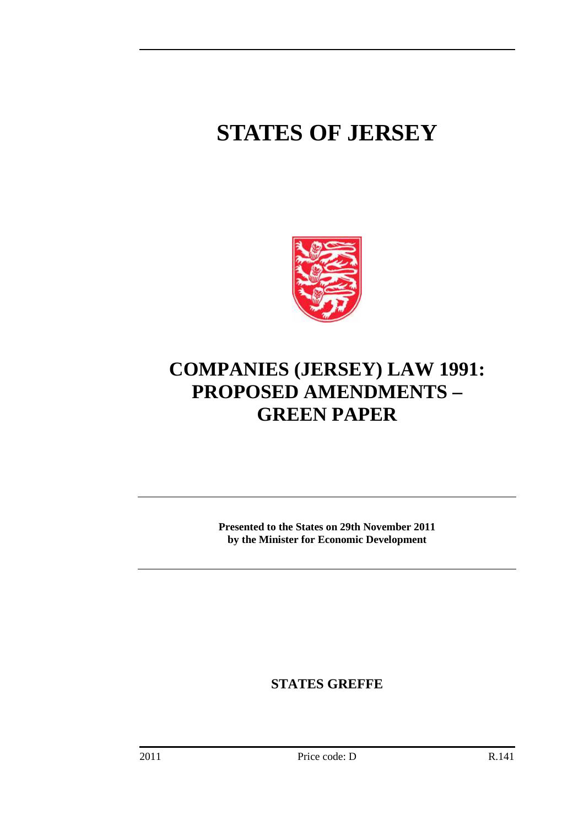# **STATES OF JERSEY**



# **COMPANIES (JERSEY) LAW 1991: PROPOSED AMENDMENTS – GREEN PAPER**

**Presented to the States on 29th November 2011 by the Minister for Economic Development** 

**STATES GREFFE**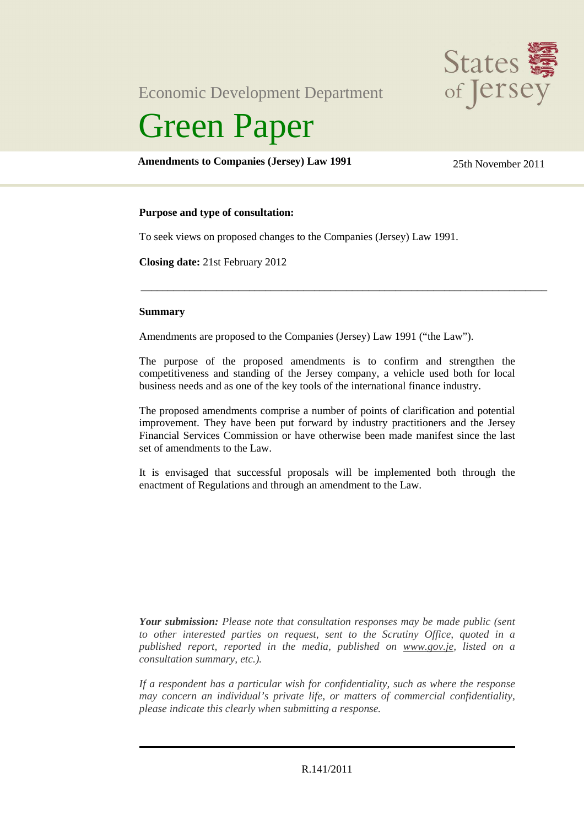Economic Development Department



# Green Paper

# **Amendments to Companies (Jersey) Law 1991** 25th November 2011

# **Purpose and type of consultation:**

To seek views on proposed changes to the Companies (Jersey) Law 1991.

**Closing date:** 21st February 2012

#### **Summary**

Amendments are proposed to the Companies (Jersey) Law 1991 ("the Law").

The purpose of the proposed amendments is to confirm and strengthen the competitiveness and standing of the Jersey company, a vehicle used both for local business needs and as one of the key tools of the international finance industry.

\_\_\_\_\_\_\_\_\_\_\_\_\_\_\_\_\_\_\_\_\_\_\_\_\_\_\_\_\_\_\_\_\_\_\_\_\_\_\_\_\_\_\_\_\_\_\_\_\_\_\_\_\_\_\_\_\_\_\_\_\_\_\_\_\_\_\_\_\_\_\_\_\_\_\_

The proposed amendments comprise a number of points of clarification and potential improvement. They have been put forward by industry practitioners and the Jersey Financial Services Commission or have otherwise been made manifest since the last set of amendments to the Law.

It is envisaged that successful proposals will be implemented both through the enactment of Regulations and through an amendment to the Law.

*Your submission: Please note that consultation responses may be made public (sent to other interested parties on request, sent to the Scrutiny Office, quoted in a published report, reported in the media, published on www.gov.je, listed on a consultation summary, etc.).* 

*If a respondent has a particular wish for confidentiality, such as where the response may concern an individual's private life, or matters of commercial confidentiality, please indicate this clearly when submitting a response.*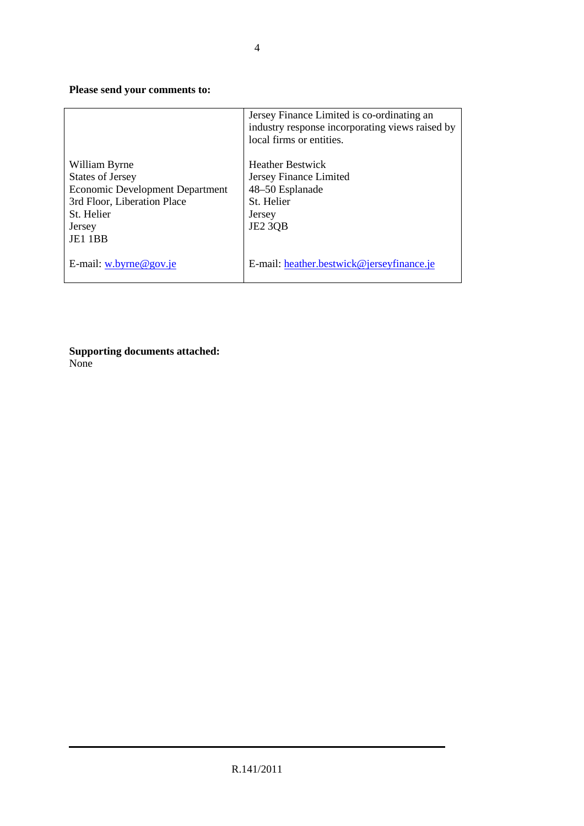# **Please send your comments to:**

|                                        | Jersey Finance Limited is co-ordinating an<br>industry response incorporating views raised by<br>local firms or entities. |
|----------------------------------------|---------------------------------------------------------------------------------------------------------------------------|
| William Byrne                          | <b>Heather Bestwick</b>                                                                                                   |
| <b>States of Jersey</b>                | Jersey Finance Limited                                                                                                    |
| <b>Economic Development Department</b> | 48–50 Esplanade                                                                                                           |
| 3rd Floor, Liberation Place            | St. Helier                                                                                                                |
| St. Helier                             | Jersey                                                                                                                    |
| Jersey                                 | <b>JE2 3QB</b>                                                                                                            |
| JE1 1BB                                |                                                                                                                           |
| E-mail: $w.byrne@gov_ie$               | E-mail: heather.bestwick@jerseyfinance.je                                                                                 |

**Supporting documents attached:**  None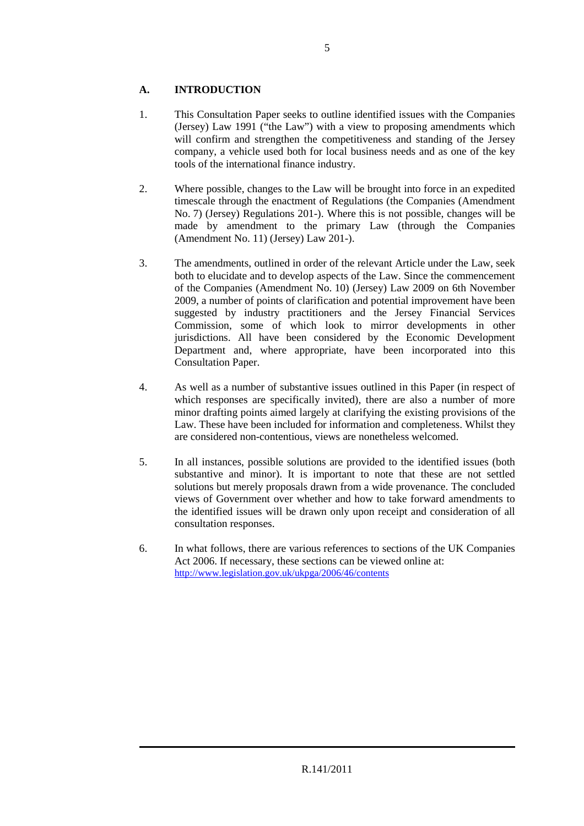# **A. INTRODUCTION**

- 1. This Consultation Paper seeks to outline identified issues with the Companies (Jersey) Law 1991 ("the Law") with a view to proposing amendments which will confirm and strengthen the competitiveness and standing of the Jersey company, a vehicle used both for local business needs and as one of the key tools of the international finance industry.
- 2. Where possible, changes to the Law will be brought into force in an expedited timescale through the enactment of Regulations (the Companies (Amendment No. 7) (Jersey) Regulations 201-). Where this is not possible, changes will be made by amendment to the primary Law (through the Companies (Amendment No. 11) (Jersey) Law 201-).
- 3. The amendments, outlined in order of the relevant Article under the Law, seek both to elucidate and to develop aspects of the Law. Since the commencement of the Companies (Amendment No. 10) (Jersey) Law 2009 on 6th November 2009, a number of points of clarification and potential improvement have been suggested by industry practitioners and the Jersey Financial Services Commission, some of which look to mirror developments in other jurisdictions. All have been considered by the Economic Development Department and, where appropriate, have been incorporated into this Consultation Paper.
- 4. As well as a number of substantive issues outlined in this Paper (in respect of which responses are specifically invited), there are also a number of more minor drafting points aimed largely at clarifying the existing provisions of the Law. These have been included for information and completeness. Whilst they are considered non-contentious, views are nonetheless welcomed.
- 5. In all instances, possible solutions are provided to the identified issues (both substantive and minor). It is important to note that these are not settled solutions but merely proposals drawn from a wide provenance. The concluded views of Government over whether and how to take forward amendments to the identified issues will be drawn only upon receipt and consideration of all consultation responses.
- 6. In what follows, there are various references to sections of the UK Companies Act 2006. If necessary, these sections can be viewed online at: http://www.legislation.gov.uk/ukpga/2006/46/contents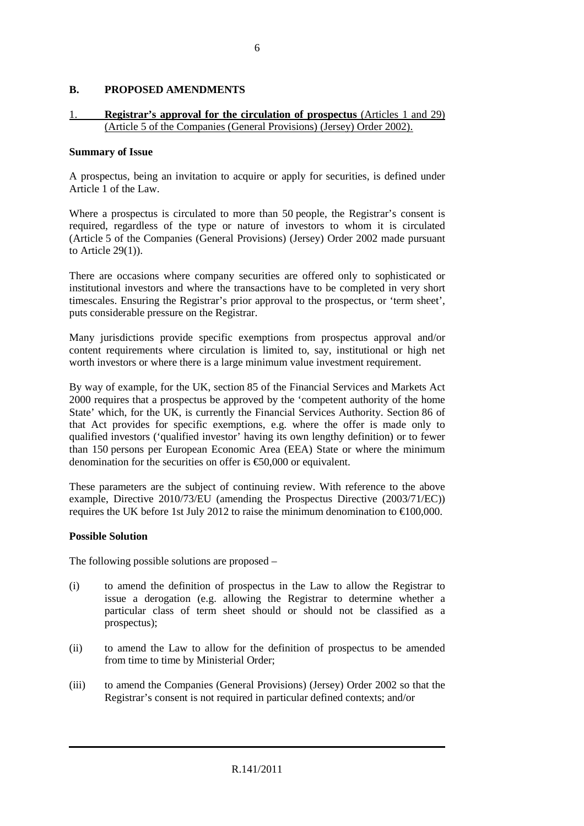# **B. PROPOSED AMENDMENTS**

# 1. **Registrar's approval for the circulation of prospectus** (Articles 1 and 29) (Article 5 of the Companies (General Provisions) (Jersey) Order 2002).

#### **Summary of Issue**

A prospectus, being an invitation to acquire or apply for securities, is defined under Article 1 of the Law.

Where a prospectus is circulated to more than 50 people, the Registrar's consent is required, regardless of the type or nature of investors to whom it is circulated (Article 5 of the Companies (General Provisions) (Jersey) Order 2002 made pursuant to Article 29(1)).

There are occasions where company securities are offered only to sophisticated or institutional investors and where the transactions have to be completed in very short timescales. Ensuring the Registrar's prior approval to the prospectus, or 'term sheet', puts considerable pressure on the Registrar.

Many jurisdictions provide specific exemptions from prospectus approval and/or content requirements where circulation is limited to, say, institutional or high net worth investors or where there is a large minimum value investment requirement.

By way of example, for the UK, section 85 of the Financial Services and Markets Act 2000 requires that a prospectus be approved by the 'competent authority of the home State' which, for the UK, is currently the Financial Services Authority. Section 86 of that Act provides for specific exemptions, e.g. where the offer is made only to qualified investors ('qualified investor' having its own lengthy definition) or to fewer than 150 persons per European Economic Area (EEA) State or where the minimum denomination for the securities on offer is  $\epsilon$ 50,000 or equivalent.

These parameters are the subject of continuing review. With reference to the above example, Directive 2010/73/EU (amending the Prospectus Directive (2003/71/EC)) requires the UK before 1st July 2012 to raise the minimum denomination to  $\epsilon$ 100,000.

#### **Possible Solution**

The following possible solutions are proposed –

- (i) to amend the definition of prospectus in the Law to allow the Registrar to issue a derogation (e.g. allowing the Registrar to determine whether a particular class of term sheet should or should not be classified as a prospectus);
- (ii) to amend the Law to allow for the definition of prospectus to be amended from time to time by Ministerial Order;
- (iii) to amend the Companies (General Provisions) (Jersey) Order 2002 so that the Registrar's consent is not required in particular defined contexts; and/or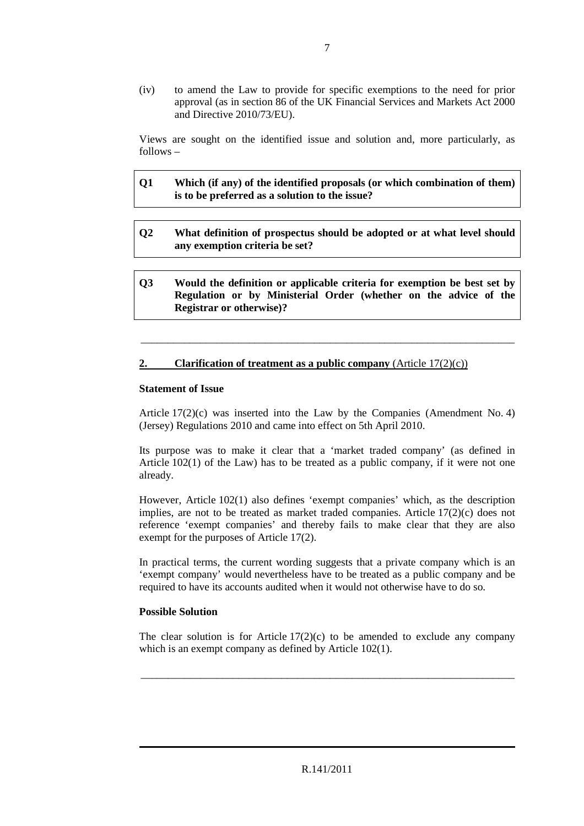(iv) to amend the Law to provide for specific exemptions to the need for prior approval (as in section 86 of the UK Financial Services and Markets Act 2000 and Directive 2010/73/EU).

Views are sought on the identified issue and solution and, more particularly, as follows –

| Q1 | Which (if any) of the identified proposals (or which combination of them) |
|----|---------------------------------------------------------------------------|
|    | is to be preferred as a solution to the issue?                            |

- **Q2 What definition of prospectus should be adopted or at what level should any exemption criteria be set?**
- **Q3 Would the definition or applicable criteria for exemption be best set by Regulation or by Ministerial Order (whether on the advice of the Registrar or otherwise)?**

\_\_\_\_\_\_\_\_\_\_\_\_\_\_\_\_\_\_\_\_\_\_\_\_\_\_\_\_\_\_\_\_\_\_\_\_\_\_\_\_\_\_\_\_\_\_\_\_\_\_\_\_\_\_\_\_\_\_\_\_\_\_\_\_\_\_\_\_\_

#### **2. Clarification of treatment as a public company** (Article 17(2)(c))

#### **Statement of Issue**

Article 17(2)(c) was inserted into the Law by the Companies (Amendment No. 4) (Jersey) Regulations 2010 and came into effect on 5th April 2010.

Its purpose was to make it clear that a 'market traded company' (as defined in Article  $102(1)$  of the Law) has to be treated as a public company, if it were not one already.

However, Article 102(1) also defines 'exempt companies' which, as the description implies, are not to be treated as market traded companies. Article  $17(2)(c)$  does not reference 'exempt companies' and thereby fails to make clear that they are also exempt for the purposes of Article 17(2).

In practical terms, the current wording suggests that a private company which is an 'exempt company' would nevertheless have to be treated as a public company and be required to have its accounts audited when it would not otherwise have to do so.

#### **Possible Solution**

The clear solution is for Article  $17(2)(c)$  to be amended to exclude any company which is an exempt company as defined by Article 102(1).

\_\_\_\_\_\_\_\_\_\_\_\_\_\_\_\_\_\_\_\_\_\_\_\_\_\_\_\_\_\_\_\_\_\_\_\_\_\_\_\_\_\_\_\_\_\_\_\_\_\_\_\_\_\_\_\_\_\_\_\_\_\_\_\_\_\_\_\_\_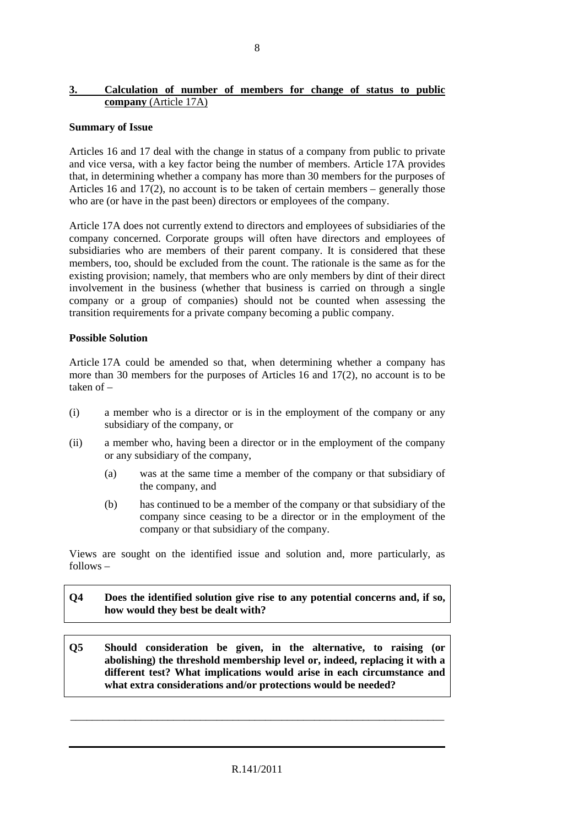#### **3. Calculation of number of members for change of status to public company** (Article 17A)

#### **Summary of Issue**

Articles 16 and 17 deal with the change in status of a company from public to private and vice versa, with a key factor being the number of members. Article 17A provides that, in determining whether a company has more than 30 members for the purposes of Articles 16 and 17(2), no account is to be taken of certain members – generally those who are (or have in the past been) directors or employees of the company.

Article 17A does not currently extend to directors and employees of subsidiaries of the company concerned. Corporate groups will often have directors and employees of subsidiaries who are members of their parent company. It is considered that these members, too, should be excluded from the count. The rationale is the same as for the existing provision; namely, that members who are only members by dint of their direct involvement in the business (whether that business is carried on through a single company or a group of companies) should not be counted when assessing the transition requirements for a private company becoming a public company.

#### **Possible Solution**

Article 17A could be amended so that, when determining whether a company has more than 30 members for the purposes of Articles 16 and 17(2), no account is to be taken of –

- (i) a member who is a director or is in the employment of the company or any subsidiary of the company, or
- (ii) a member who, having been a director or in the employment of the company or any subsidiary of the company,
	- (a) was at the same time a member of the company or that subsidiary of the company, and
	- (b) has continued to be a member of the company or that subsidiary of the company since ceasing to be a director or in the employment of the company or that subsidiary of the company.

Views are sought on the identified issue and solution and, more particularly, as follows –

# **Q4 Does the identified solution give rise to any potential concerns and, if so, how would they best be dealt with?**

**Q5 Should consideration be given, in the alternative, to raising (or abolishing) the threshold membership level or, indeed, replacing it with a different test? What implications would arise in each circumstance and what extra considerations and/or protections would be needed?** 

\_\_\_\_\_\_\_\_\_\_\_\_\_\_\_\_\_\_\_\_\_\_\_\_\_\_\_\_\_\_\_\_\_\_\_\_\_\_\_\_\_\_\_\_\_\_\_\_\_\_\_\_\_\_\_\_\_\_\_\_\_\_\_\_\_\_\_\_\_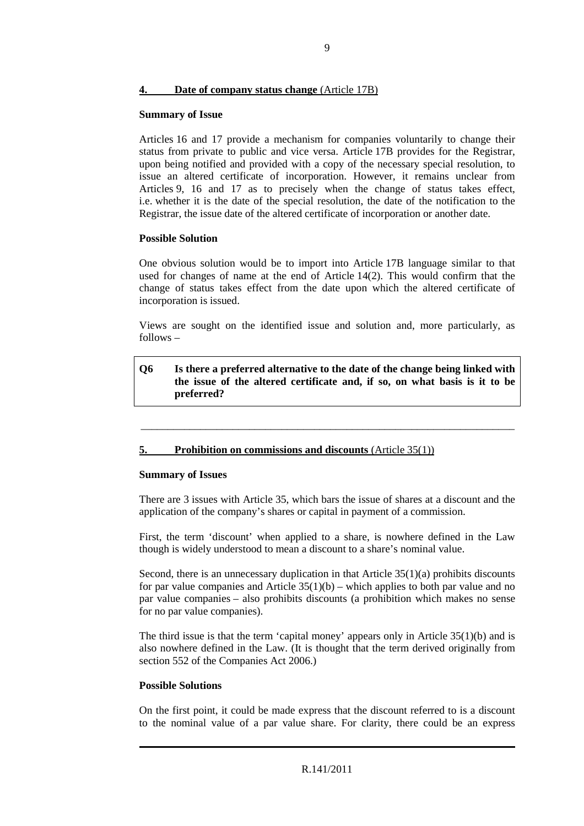#### **4. Date of company status change** (Article 17B)

#### **Summary of Issue**

Articles 16 and 17 provide a mechanism for companies voluntarily to change their status from private to public and vice versa. Article 17B provides for the Registrar, upon being notified and provided with a copy of the necessary special resolution, to issue an altered certificate of incorporation. However, it remains unclear from Articles 9, 16 and 17 as to precisely when the change of status takes effect, i.e. whether it is the date of the special resolution, the date of the notification to the Registrar, the issue date of the altered certificate of incorporation or another date.

# **Possible Solution**

One obvious solution would be to import into Article 17B language similar to that used for changes of name at the end of Article 14(2). This would confirm that the change of status takes effect from the date upon which the altered certificate of incorporation is issued.

Views are sought on the identified issue and solution and, more particularly, as follows –

# **Q6 Is there a preferred alternative to the date of the change being linked with the issue of the altered certificate and, if so, on what basis is it to be preferred?**

\_\_\_\_\_\_\_\_\_\_\_\_\_\_\_\_\_\_\_\_\_\_\_\_\_\_\_\_\_\_\_\_\_\_\_\_\_\_\_\_\_\_\_\_\_\_\_\_\_\_\_\_\_\_\_\_\_\_\_\_\_\_\_\_\_\_\_\_\_

# **5. Prohibition on commissions and discounts** (Article 35(1))

#### **Summary of Issues**

There are 3 issues with Article 35, which bars the issue of shares at a discount and the application of the company's shares or capital in payment of a commission.

First, the term 'discount' when applied to a share, is nowhere defined in the Law though is widely understood to mean a discount to a share's nominal value.

Second, there is an unnecessary duplication in that Article  $35(1)(a)$  prohibits discounts for par value companies and Article  $35(1)(b)$  – which applies to both par value and no par value companies – also prohibits discounts (a prohibition which makes no sense for no par value companies).

The third issue is that the term 'capital money' appears only in Article 35(1)(b) and is also nowhere defined in the Law. (It is thought that the term derived originally from section 552 of the Companies Act 2006.)

#### **Possible Solutions**

On the first point, it could be made express that the discount referred to is a discount to the nominal value of a par value share. For clarity, there could be an express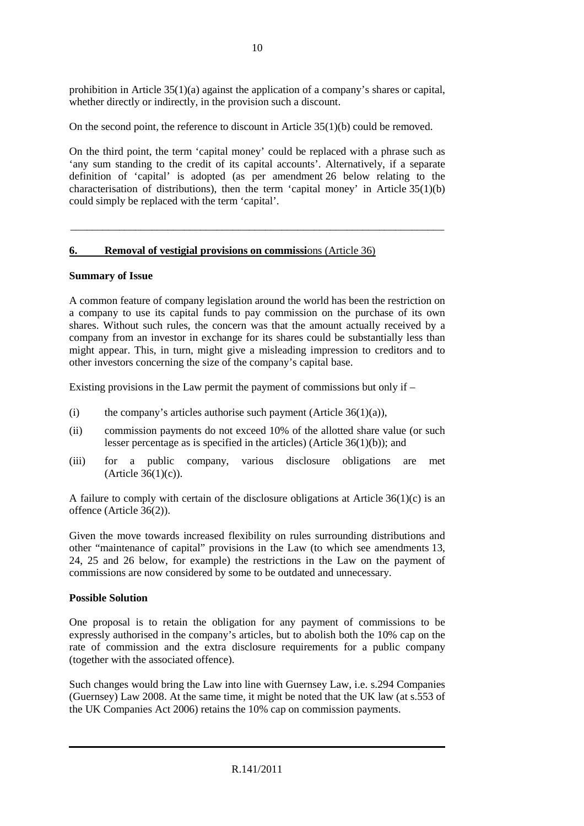prohibition in Article 35(1)(a) against the application of a company's shares or capital, whether directly or indirectly, in the provision such a discount.

On the second point, the reference to discount in Article  $35(1)(b)$  could be removed.

On the third point, the term 'capital money' could be replaced with a phrase such as 'any sum standing to the credit of its capital accounts'. Alternatively, if a separate definition of 'capital' is adopted (as per amendment 26 below relating to the characterisation of distributions), then the term 'capital money' in Article  $35(1)(b)$ could simply be replaced with the term 'capital'.

\_\_\_\_\_\_\_\_\_\_\_\_\_\_\_\_\_\_\_\_\_\_\_\_\_\_\_\_\_\_\_\_\_\_\_\_\_\_\_\_\_\_\_\_\_\_\_\_\_\_\_\_\_\_\_\_\_\_\_\_\_\_\_\_\_\_\_\_\_

# **6. Removal of vestigial provisions on commissi**ons (Article 36)

#### **Summary of Issue**

A common feature of company legislation around the world has been the restriction on a company to use its capital funds to pay commission on the purchase of its own shares. Without such rules, the concern was that the amount actually received by a company from an investor in exchange for its shares could be substantially less than might appear. This, in turn, might give a misleading impression to creditors and to other investors concerning the size of the company's capital base.

Existing provisions in the Law permit the payment of commissions but only if –

- (i) the company's articles authorise such payment (Article  $36(1)(a)$ ),
- (ii) commission payments do not exceed 10% of the allotted share value (or such lesser percentage as is specified in the articles) (Article 36(1)(b)); and
- (iii) for a public company, various disclosure obligations are met  $(A<sup>r</sup>$ ticle 36 $(1)(c)$ ).

A failure to comply with certain of the disclosure obligations at Article 36(1)(c) is an offence (Article 36(2)).

Given the move towards increased flexibility on rules surrounding distributions and other "maintenance of capital" provisions in the Law (to which see amendments 13, 24, 25 and 26 below, for example) the restrictions in the Law on the payment of commissions are now considered by some to be outdated and unnecessary.

#### **Possible Solution**

One proposal is to retain the obligation for any payment of commissions to be expressly authorised in the company's articles, but to abolish both the 10% cap on the rate of commission and the extra disclosure requirements for a public company (together with the associated offence).

Such changes would bring the Law into line with Guernsey Law, i.e. s.294 Companies (Guernsey) Law 2008. At the same time, it might be noted that the UK law (at s.553 of the UK Companies Act 2006) retains the 10% cap on commission payments.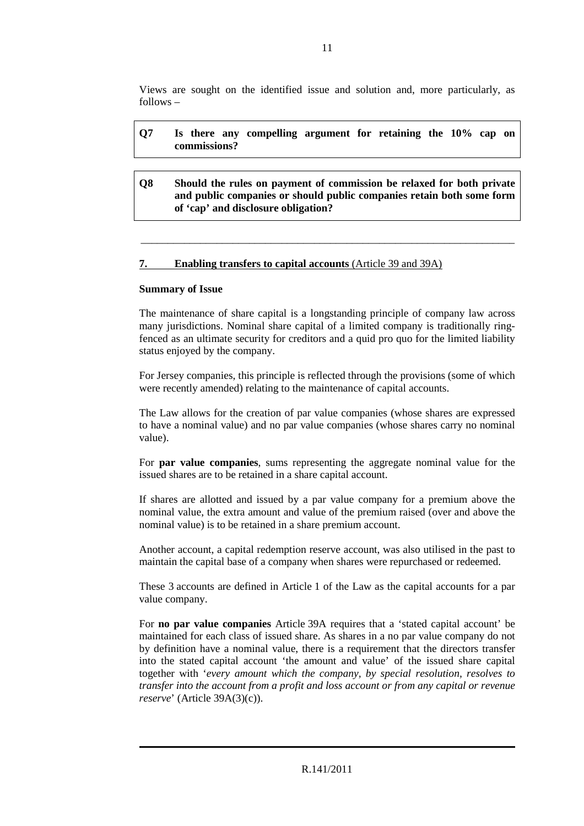Views are sought on the identified issue and solution and, more particularly, as follows –

# **Q7 Is there any compelling argument for retaining the 10% cap on commissions?**

**Q8 Should the rules on payment of commission be relaxed for both private and public companies or should public companies retain both some form of 'cap' and disclosure obligation?** 

\_\_\_\_\_\_\_\_\_\_\_\_\_\_\_\_\_\_\_\_\_\_\_\_\_\_\_\_\_\_\_\_\_\_\_\_\_\_\_\_\_\_\_\_\_\_\_\_\_\_\_\_\_\_\_\_\_\_\_\_\_\_\_\_\_\_\_\_\_

# **7. Enabling transfers to capital accounts** (Article 39 and 39A)

#### **Summary of Issue**

The maintenance of share capital is a longstanding principle of company law across many jurisdictions. Nominal share capital of a limited company is traditionally ringfenced as an ultimate security for creditors and a quid pro quo for the limited liability status enjoyed by the company.

For Jersey companies, this principle is reflected through the provisions (some of which were recently amended) relating to the maintenance of capital accounts.

The Law allows for the creation of par value companies (whose shares are expressed to have a nominal value) and no par value companies (whose shares carry no nominal value).

For **par value companies**, sums representing the aggregate nominal value for the issued shares are to be retained in a share capital account.

If shares are allotted and issued by a par value company for a premium above the nominal value, the extra amount and value of the premium raised (over and above the nominal value) is to be retained in a share premium account.

Another account, a capital redemption reserve account, was also utilised in the past to maintain the capital base of a company when shares were repurchased or redeemed.

These 3 accounts are defined in Article 1 of the Law as the capital accounts for a par value company.

For **no par value companies** Article 39A requires that a 'stated capital account' be maintained for each class of issued share. As shares in a no par value company do not by definition have a nominal value, there is a requirement that the directors transfer into the stated capital account 'the amount and value' of the issued share capital together with '*every amount which the company, by special resolution, resolves to transfer into the account from a profit and loss account or from any capital or revenue reserve*' (Article 39A(3)(c)).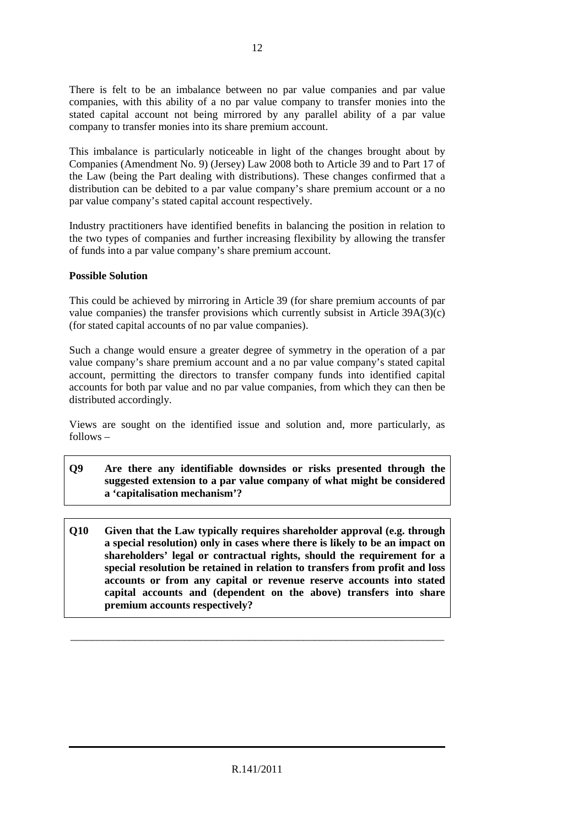There is felt to be an imbalance between no par value companies and par value companies, with this ability of a no par value company to transfer monies into the stated capital account not being mirrored by any parallel ability of a par value company to transfer monies into its share premium account.

This imbalance is particularly noticeable in light of the changes brought about by Companies (Amendment No. 9) (Jersey) Law 2008 both to Article 39 and to Part 17 of the Law (being the Part dealing with distributions). These changes confirmed that a distribution can be debited to a par value company's share premium account or a no par value company's stated capital account respectively.

Industry practitioners have identified benefits in balancing the position in relation to the two types of companies and further increasing flexibility by allowing the transfer of funds into a par value company's share premium account.

# **Possible Solution**

This could be achieved by mirroring in Article 39 (for share premium accounts of par value companies) the transfer provisions which currently subsist in Article 39A(3)(c) (for stated capital accounts of no par value companies).

Such a change would ensure a greater degree of symmetry in the operation of a par value company's share premium account and a no par value company's stated capital account, permitting the directors to transfer company funds into identified capital accounts for both par value and no par value companies, from which they can then be distributed accordingly.

Views are sought on the identified issue and solution and, more particularly, as follows –

- **Q9 Are there any identifiable downsides or risks presented through the suggested extension to a par value company of what might be considered a 'capitalisation mechanism'?**
- **Q10 Given that the Law typically requires shareholder approval (e.g. through a special resolution) only in cases where there is likely to be an impact on shareholders' legal or contractual rights, should the requirement for a special resolution be retained in relation to transfers from profit and loss accounts or from any capital or revenue reserve accounts into stated capital accounts and (dependent on the above) transfers into share premium accounts respectively?**

\_\_\_\_\_\_\_\_\_\_\_\_\_\_\_\_\_\_\_\_\_\_\_\_\_\_\_\_\_\_\_\_\_\_\_\_\_\_\_\_\_\_\_\_\_\_\_\_\_\_\_\_\_\_\_\_\_\_\_\_\_\_\_\_\_\_\_\_\_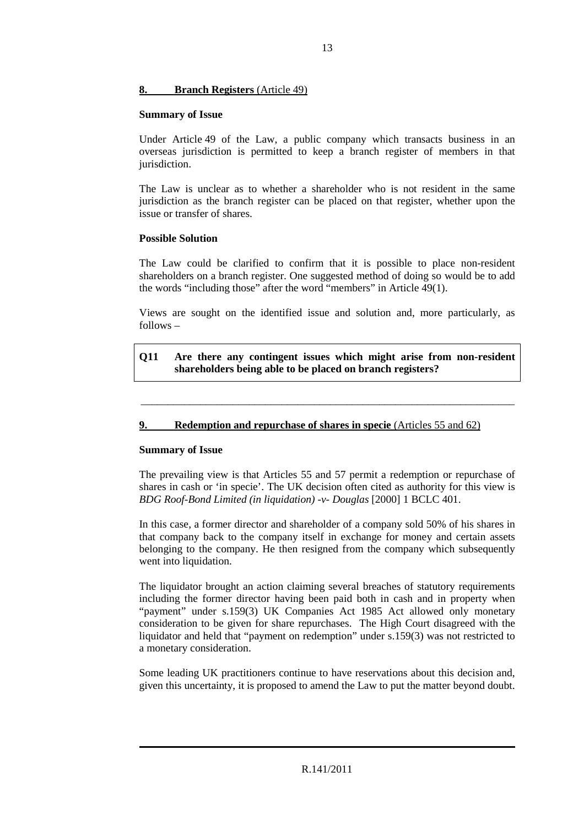# **8. Branch Registers** (Article 49)

#### **Summary of Issue**

Under Article 49 of the Law, a public company which transacts business in an overseas jurisdiction is permitted to keep a branch register of members in that jurisdiction.

The Law is unclear as to whether a shareholder who is not resident in the same jurisdiction as the branch register can be placed on that register, whether upon the issue or transfer of shares.

# **Possible Solution**

The Law could be clarified to confirm that it is possible to place non-resident shareholders on a branch register. One suggested method of doing so would be to add the words "including those" after the word "members" in Article 49(1).

Views are sought on the identified issue and solution and, more particularly, as follows –

# **Q11 Are there any contingent issues which might arise from non-resident shareholders being able to be placed on branch registers?**

\_\_\_\_\_\_\_\_\_\_\_\_\_\_\_\_\_\_\_\_\_\_\_\_\_\_\_\_\_\_\_\_\_\_\_\_\_\_\_\_\_\_\_\_\_\_\_\_\_\_\_\_\_\_\_\_\_\_\_\_\_\_\_\_\_\_\_\_\_

# **9. Redemption and repurchase of shares in specie** (Articles 55 and 62)

# **Summary of Issue**

The prevailing view is that Articles 55 and 57 permit a redemption or repurchase of shares in cash or 'in specie'. The UK decision often cited as authority for this view is *BDG Roof-Bond Limited (in liquidation) -v- Douglas* [2000] 1 BCLC 401.

In this case, a former director and shareholder of a company sold 50% of his shares in that company back to the company itself in exchange for money and certain assets belonging to the company. He then resigned from the company which subsequently went into liquidation.

The liquidator brought an action claiming several breaches of statutory requirements including the former director having been paid both in cash and in property when "payment" under s.159(3) UK Companies Act 1985 Act allowed only monetary consideration to be given for share repurchases. The High Court disagreed with the liquidator and held that "payment on redemption" under s.159(3) was not restricted to a monetary consideration.

Some leading UK practitioners continue to have reservations about this decision and, given this uncertainty, it is proposed to amend the Law to put the matter beyond doubt.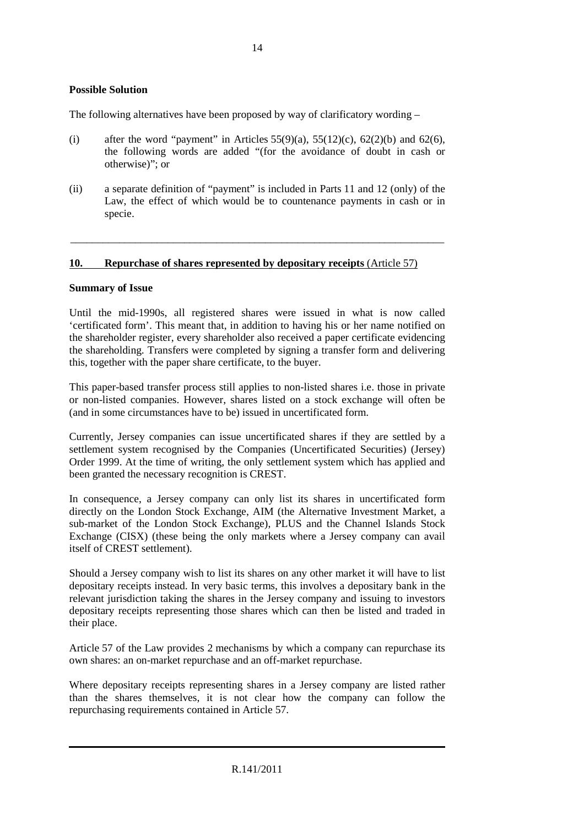# **Possible Solution**

The following alternatives have been proposed by way of clarificatory wording –

- (i) after the word "payment" in Articles  $55(9)(a)$ ,  $55(12)(c)$ ,  $62(2)(b)$  and  $62(6)$ , the following words are added "(for the avoidance of doubt in cash or otherwise)"; or
- (ii) a separate definition of "payment" is included in Parts 11 and 12 (only) of the Law, the effect of which would be to countenance payments in cash or in specie.

\_\_\_\_\_\_\_\_\_\_\_\_\_\_\_\_\_\_\_\_\_\_\_\_\_\_\_\_\_\_\_\_\_\_\_\_\_\_\_\_\_\_\_\_\_\_\_\_\_\_\_\_\_\_\_\_\_\_\_\_\_\_\_\_\_\_\_\_\_

#### **10. Repurchase of shares represented by depositary receipts** (Article 57)

#### **Summary of Issue**

Until the mid-1990s, all registered shares were issued in what is now called 'certificated form'. This meant that, in addition to having his or her name notified on the shareholder register, every shareholder also received a paper certificate evidencing the shareholding. Transfers were completed by signing a transfer form and delivering this, together with the paper share certificate, to the buyer.

This paper-based transfer process still applies to non-listed shares i.e. those in private or non-listed companies. However, shares listed on a stock exchange will often be (and in some circumstances have to be) issued in uncertificated form.

Currently, Jersey companies can issue uncertificated shares if they are settled by a settlement system recognised by the Companies (Uncertificated Securities) (Jersey) Order 1999. At the time of writing, the only settlement system which has applied and been granted the necessary recognition is CREST.

In consequence, a Jersey company can only list its shares in uncertificated form directly on the London Stock Exchange, AIM (the Alternative Investment Market, a sub-market of the London Stock Exchange), PLUS and the Channel Islands Stock Exchange (CISX) (these being the only markets where a Jersey company can avail itself of CREST settlement).

Should a Jersey company wish to list its shares on any other market it will have to list depositary receipts instead. In very basic terms, this involves a depositary bank in the relevant jurisdiction taking the shares in the Jersey company and issuing to investors depositary receipts representing those shares which can then be listed and traded in their place.

Article 57 of the Law provides 2 mechanisms by which a company can repurchase its own shares: an on-market repurchase and an off-market repurchase.

Where depositary receipts representing shares in a Jersey company are listed rather than the shares themselves, it is not clear how the company can follow the repurchasing requirements contained in Article 57.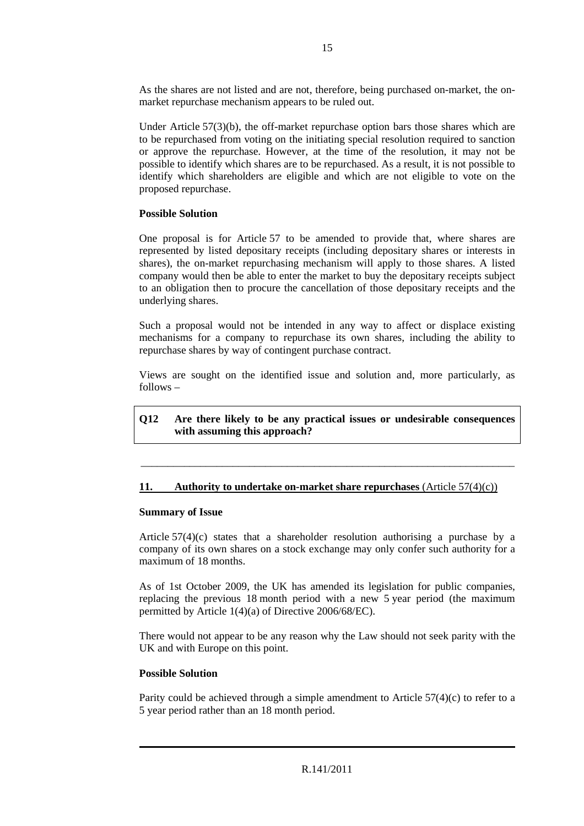As the shares are not listed and are not, therefore, being purchased on-market, the onmarket repurchase mechanism appears to be ruled out.

Under Article  $57(3)(b)$ , the off-market repurchase option bars those shares which are to be repurchased from voting on the initiating special resolution required to sanction or approve the repurchase. However, at the time of the resolution, it may not be possible to identify which shares are to be repurchased. As a result, it is not possible to identify which shareholders are eligible and which are not eligible to vote on the proposed repurchase.

# **Possible Solution**

One proposal is for Article 57 to be amended to provide that, where shares are represented by listed depositary receipts (including depositary shares or interests in shares), the on-market repurchasing mechanism will apply to those shares. A listed company would then be able to enter the market to buy the depositary receipts subject to an obligation then to procure the cancellation of those depositary receipts and the underlying shares.

Such a proposal would not be intended in any way to affect or displace existing mechanisms for a company to repurchase its own shares, including the ability to repurchase shares by way of contingent purchase contract.

Views are sought on the identified issue and solution and, more particularly, as follows –

**Q12 Are there likely to be any practical issues or undesirable consequences with assuming this approach?** 

\_\_\_\_\_\_\_\_\_\_\_\_\_\_\_\_\_\_\_\_\_\_\_\_\_\_\_\_\_\_\_\_\_\_\_\_\_\_\_\_\_\_\_\_\_\_\_\_\_\_\_\_\_\_\_\_\_\_\_\_\_\_\_\_\_\_\_\_\_

#### **11. Authority to undertake on-market share repurchases** (Article 57(4)(c))

#### **Summary of Issue**

Article  $57(4)(c)$  states that a shareholder resolution authorising a purchase by a company of its own shares on a stock exchange may only confer such authority for a maximum of 18 months.

As of 1st October 2009, the UK has amended its legislation for public companies, replacing the previous 18 month period with a new 5 year period (the maximum permitted by Article 1(4)(a) of Directive 2006/68/EC).

There would not appear to be any reason why the Law should not seek parity with the UK and with Europe on this point.

#### **Possible Solution**

Parity could be achieved through a simple amendment to Article  $57(4)(c)$  to refer to a 5 year period rather than an 18 month period.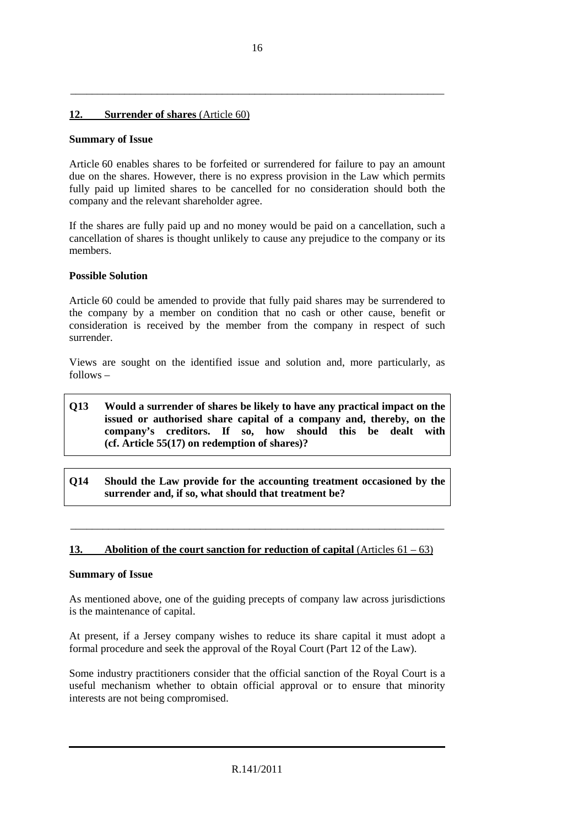# **12. Surrender of shares** (Article 60)

#### **Summary of Issue**

Article 60 enables shares to be forfeited or surrendered for failure to pay an amount due on the shares. However, there is no express provision in the Law which permits fully paid up limited shares to be cancelled for no consideration should both the company and the relevant shareholder agree.

If the shares are fully paid up and no money would be paid on a cancellation, such a cancellation of shares is thought unlikely to cause any prejudice to the company or its members.

#### **Possible Solution**

Article 60 could be amended to provide that fully paid shares may be surrendered to the company by a member on condition that no cash or other cause, benefit or consideration is received by the member from the company in respect of such surrender.

Views are sought on the identified issue and solution and, more particularly, as follows –

# **Q13 Would a surrender of shares be likely to have any practical impact on the issued or authorised share capital of a company and, thereby, on the company's creditors. If so, how should this be dealt with (cf. Article 55(17) on redemption of shares)?**

**Q14 Should the Law provide for the accounting treatment occasioned by the surrender and, if so, what should that treatment be?** 

\_\_\_\_\_\_\_\_\_\_\_\_\_\_\_\_\_\_\_\_\_\_\_\_\_\_\_\_\_\_\_\_\_\_\_\_\_\_\_\_\_\_\_\_\_\_\_\_\_\_\_\_\_\_\_\_\_\_\_\_\_\_\_\_\_\_\_\_\_

#### **13. Abolition of the court sanction for reduction of capital** (Articles 61 – 63)

#### **Summary of Issue**

As mentioned above, one of the guiding precepts of company law across jurisdictions is the maintenance of capital.

At present, if a Jersey company wishes to reduce its share capital it must adopt a formal procedure and seek the approval of the Royal Court (Part 12 of the Law).

Some industry practitioners consider that the official sanction of the Royal Court is a useful mechanism whether to obtain official approval or to ensure that minority interests are not being compromised.

\_\_\_\_\_\_\_\_\_\_\_\_\_\_\_\_\_\_\_\_\_\_\_\_\_\_\_\_\_\_\_\_\_\_\_\_\_\_\_\_\_\_\_\_\_\_\_\_\_\_\_\_\_\_\_\_\_\_\_\_\_\_\_\_\_\_\_\_\_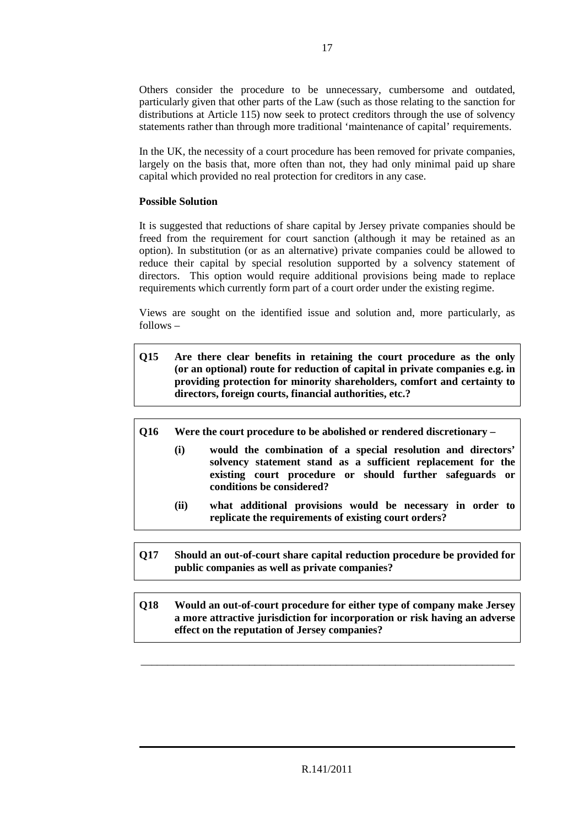Others consider the procedure to be unnecessary, cumbersome and outdated, particularly given that other parts of the Law (such as those relating to the sanction for distributions at Article 115) now seek to protect creditors through the use of solvency statements rather than through more traditional 'maintenance of capital' requirements.

In the UK, the necessity of a court procedure has been removed for private companies, largely on the basis that, more often than not, they had only minimal paid up share capital which provided no real protection for creditors in any case.

# **Possible Solution**

It is suggested that reductions of share capital by Jersey private companies should be freed from the requirement for court sanction (although it may be retained as an option). In substitution (or as an alternative) private companies could be allowed to reduce their capital by special resolution supported by a solvency statement of directors. This option would require additional provisions being made to replace requirements which currently form part of a court order under the existing regime.

Views are sought on the identified issue and solution and, more particularly, as follows –

- **Q15 Are there clear benefits in retaining the court procedure as the only (or an optional) route for reduction of capital in private companies e.g. in providing protection for minority shareholders, comfort and certainty to directors, foreign courts, financial authorities, etc.?**
- **Q16 Were the court procedure to be abolished or rendered discretionary** 
	- **(i) would the combination of a special resolution and directors' solvency statement stand as a sufficient replacement for the existing court procedure or should further safeguards or conditions be considered?**
	- **(ii) what additional provisions would be necessary in order to replicate the requirements of existing court orders?**
- **Q17 Should an out-of-court share capital reduction procedure be provided for public companies as well as private companies?**
- **Q18 Would an out-of-court procedure for either type of company make Jersey a more attractive jurisdiction for incorporation or risk having an adverse effect on the reputation of Jersey companies?**

\_\_\_\_\_\_\_\_\_\_\_\_\_\_\_\_\_\_\_\_\_\_\_\_\_\_\_\_\_\_\_\_\_\_\_\_\_\_\_\_\_\_\_\_\_\_\_\_\_\_\_\_\_\_\_\_\_\_\_\_\_\_\_\_\_\_\_\_\_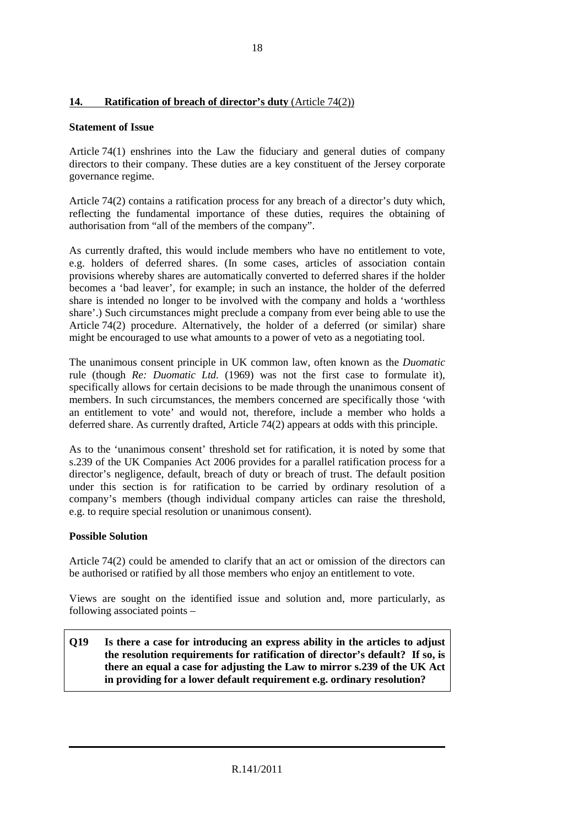# **14. Ratification of breach of director's duty** (Article 74(2))

# **Statement of Issue**

Article 74(1) enshrines into the Law the fiduciary and general duties of company directors to their company. These duties are a key constituent of the Jersey corporate governance regime.

Article 74(2) contains a ratification process for any breach of a director's duty which, reflecting the fundamental importance of these duties, requires the obtaining of authorisation from "all of the members of the company".

As currently drafted, this would include members who have no entitlement to vote, e.g. holders of deferred shares. (In some cases, articles of association contain provisions whereby shares are automatically converted to deferred shares if the holder becomes a 'bad leaver', for example; in such an instance, the holder of the deferred share is intended no longer to be involved with the company and holds a 'worthless share'.) Such circumstances might preclude a company from ever being able to use the Article 74(2) procedure. Alternatively, the holder of a deferred (or similar) share might be encouraged to use what amounts to a power of veto as a negotiating tool.

The unanimous consent principle in UK common law, often known as the *Duomatic*  rule (though *Re: Duomatic Ltd.* (1969) was not the first case to formulate it), specifically allows for certain decisions to be made through the unanimous consent of members. In such circumstances, the members concerned are specifically those 'with an entitlement to vote' and would not, therefore, include a member who holds a deferred share. As currently drafted, Article 74(2) appears at odds with this principle.

As to the 'unanimous consent' threshold set for ratification, it is noted by some that s.239 of the UK Companies Act 2006 provides for a parallel ratification process for a director's negligence, default, breach of duty or breach of trust. The default position under this section is for ratification to be carried by ordinary resolution of a company's members (though individual company articles can raise the threshold, e.g. to require special resolution or unanimous consent).

# **Possible Solution**

Article 74(2) could be amended to clarify that an act or omission of the directors can be authorised or ratified by all those members who enjoy an entitlement to vote.

Views are sought on the identified issue and solution and, more particularly, as following associated points –

**Q19 Is there a case for introducing an express ability in the articles to adjust the resolution requirements for ratification of director's default? If so, is there an equal a case for adjusting the Law to mirror s.239 of the UK Act in providing for a lower default requirement e.g. ordinary resolution?**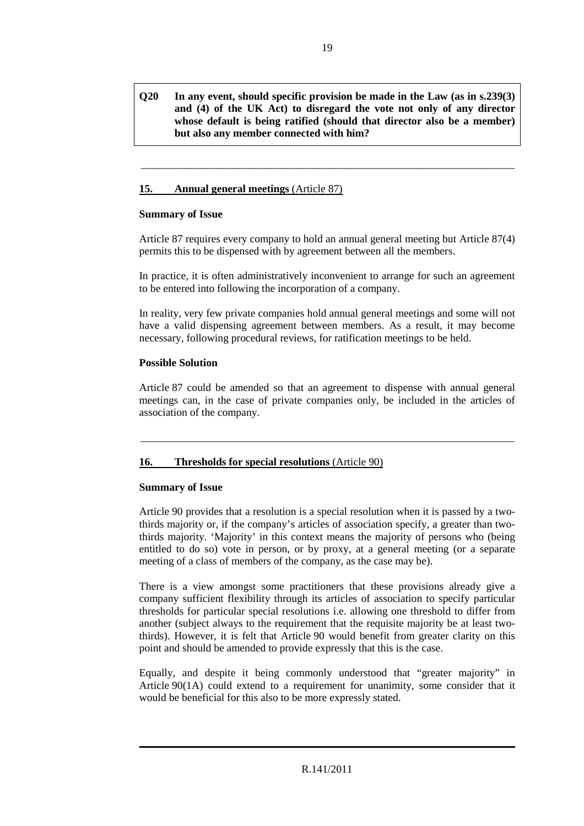# **Q20 In any event, should specific provision be made in the Law (as in s.239(3) and (4) of the UK Act) to disregard the vote not only of any director whose default is being ratified (should that director also be a member) but also any member connected with him?**

\_\_\_\_\_\_\_\_\_\_\_\_\_\_\_\_\_\_\_\_\_\_\_\_\_\_\_\_\_\_\_\_\_\_\_\_\_\_\_\_\_\_\_\_\_\_\_\_\_\_\_\_\_\_\_\_\_\_\_\_\_\_\_\_\_\_\_\_\_

# **15. Annual general meetings** (Article 87)

#### **Summary of Issue**

Article 87 requires every company to hold an annual general meeting but Article 87(4) permits this to be dispensed with by agreement between all the members.

In practice, it is often administratively inconvenient to arrange for such an agreement to be entered into following the incorporation of a company.

In reality, very few private companies hold annual general meetings and some will not have a valid dispensing agreement between members. As a result, it may become necessary, following procedural reviews, for ratification meetings to be held.

# **Possible Solution**

Article 87 could be amended so that an agreement to dispense with annual general meetings can, in the case of private companies only, be included in the articles of association of the company.

\_\_\_\_\_\_\_\_\_\_\_\_\_\_\_\_\_\_\_\_\_\_\_\_\_\_\_\_\_\_\_\_\_\_\_\_\_\_\_\_\_\_\_\_\_\_\_\_\_\_\_\_\_\_\_\_\_\_\_\_\_\_\_\_\_\_\_\_\_

# **16. Thresholds for special resolutions** (Article 90)

# **Summary of Issue**

Article 90 provides that a resolution is a special resolution when it is passed by a twothirds majority or, if the company's articles of association specify, a greater than twothirds majority. 'Majority' in this context means the majority of persons who (being entitled to do so) vote in person, or by proxy, at a general meeting (or a separate meeting of a class of members of the company, as the case may be).

There is a view amongst some practitioners that these provisions already give a company sufficient flexibility through its articles of association to specify particular thresholds for particular special resolutions i.e. allowing one threshold to differ from another (subject always to the requirement that the requisite majority be at least twothirds). However, it is felt that Article 90 would benefit from greater clarity on this point and should be amended to provide expressly that this is the case.

Equally, and despite it being commonly understood that "greater majority" in Article 90(1A) could extend to a requirement for unanimity, some consider that it would be beneficial for this also to be more expressly stated.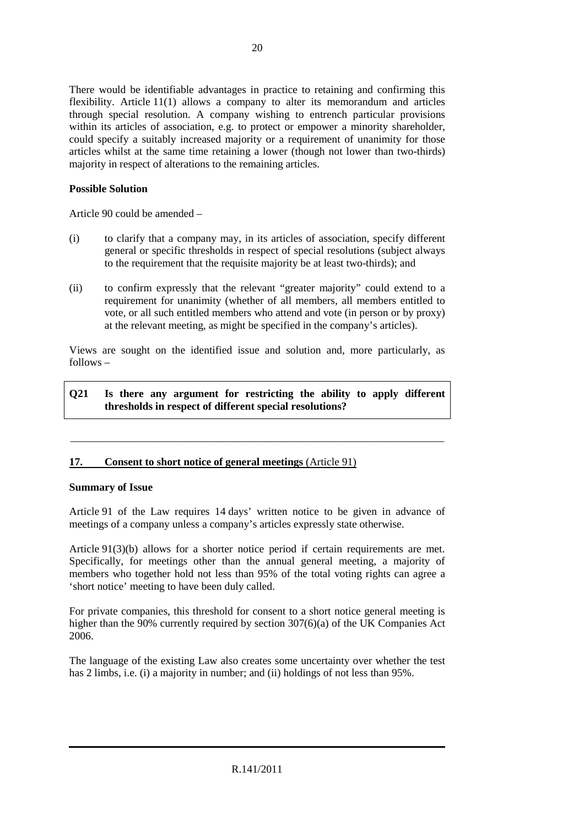There would be identifiable advantages in practice to retaining and confirming this flexibility. Article 11(1) allows a company to alter its memorandum and articles through special resolution. A company wishing to entrench particular provisions within its articles of association, e.g. to protect or empower a minority shareholder, could specify a suitably increased majority or a requirement of unanimity for those articles whilst at the same time retaining a lower (though not lower than two-thirds) majority in respect of alterations to the remaining articles.

# **Possible Solution**

Article 90 could be amended –

- (i) to clarify that a company may, in its articles of association, specify different general or specific thresholds in respect of special resolutions (subject always to the requirement that the requisite majority be at least two-thirds); and
- (ii) to confirm expressly that the relevant "greater majority" could extend to a requirement for unanimity (whether of all members, all members entitled to vote, or all such entitled members who attend and vote (in person or by proxy) at the relevant meeting, as might be specified in the company's articles).

Views are sought on the identified issue and solution and, more particularly, as follows –

#### **Q21 Is there any argument for restricting the ability to apply different thresholds in respect of different special resolutions?**

\_\_\_\_\_\_\_\_\_\_\_\_\_\_\_\_\_\_\_\_\_\_\_\_\_\_\_\_\_\_\_\_\_\_\_\_\_\_\_\_\_\_\_\_\_\_\_\_\_\_\_\_\_\_\_\_\_\_\_\_\_\_\_\_\_\_\_\_\_

# **17. Consent to short notice of general meetings** (Article 91)

#### **Summary of Issue**

Article 91 of the Law requires 14 days' written notice to be given in advance of meetings of a company unless a company's articles expressly state otherwise.

Article 91(3)(b) allows for a shorter notice period if certain requirements are met. Specifically, for meetings other than the annual general meeting, a majority of members who together hold not less than 95% of the total voting rights can agree a 'short notice' meeting to have been duly called.

For private companies, this threshold for consent to a short notice general meeting is higher than the 90% currently required by section 307(6)(a) of the UK Companies Act 2006.

The language of the existing Law also creates some uncertainty over whether the test has 2 limbs, i.e. (i) a majority in number; and (ii) holdings of not less than 95%.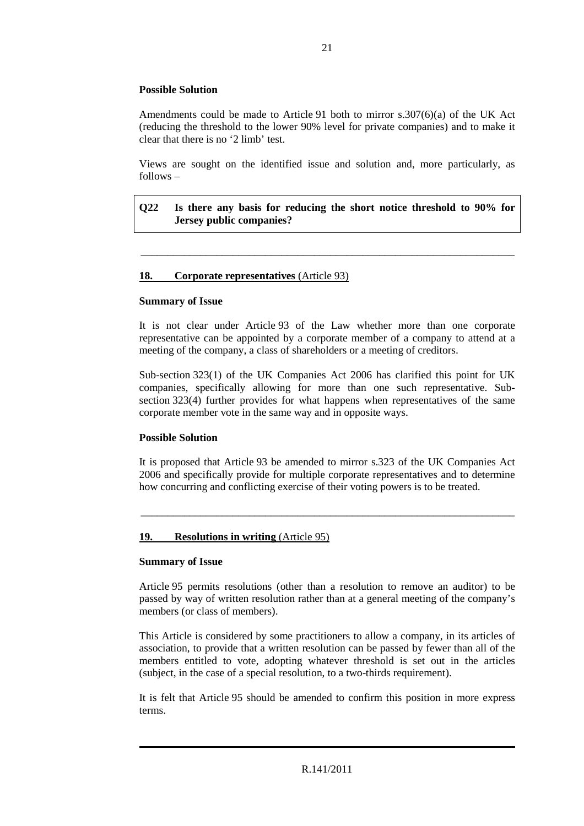# **Possible Solution**

Amendments could be made to Article 91 both to mirror s.307(6)(a) of the UK Act (reducing the threshold to the lower 90% level for private companies) and to make it clear that there is no '2 limb' test.

Views are sought on the identified issue and solution and, more particularly, as follows –

# **Q22 Is there any basis for reducing the short notice threshold to 90% for Jersey public companies?**

\_\_\_\_\_\_\_\_\_\_\_\_\_\_\_\_\_\_\_\_\_\_\_\_\_\_\_\_\_\_\_\_\_\_\_\_\_\_\_\_\_\_\_\_\_\_\_\_\_\_\_\_\_\_\_\_\_\_\_\_\_\_\_\_\_\_\_\_\_

# **18. Corporate representatives** (Article 93)

#### **Summary of Issue**

It is not clear under Article 93 of the Law whether more than one corporate representative can be appointed by a corporate member of a company to attend at a meeting of the company, a class of shareholders or a meeting of creditors.

Sub-section 323(1) of the UK Companies Act 2006 has clarified this point for UK companies, specifically allowing for more than one such representative. Subsection 323(4) further provides for what happens when representatives of the same corporate member vote in the same way and in opposite ways.

# **Possible Solution**

It is proposed that Article 93 be amended to mirror s.323 of the UK Companies Act 2006 and specifically provide for multiple corporate representatives and to determine how concurring and conflicting exercise of their voting powers is to be treated.

\_\_\_\_\_\_\_\_\_\_\_\_\_\_\_\_\_\_\_\_\_\_\_\_\_\_\_\_\_\_\_\_\_\_\_\_\_\_\_\_\_\_\_\_\_\_\_\_\_\_\_\_\_\_\_\_\_\_\_\_\_\_\_\_\_\_\_\_\_

# **19. Resolutions in writing** (Article 95)

#### **Summary of Issue**

Article 95 permits resolutions (other than a resolution to remove an auditor) to be passed by way of written resolution rather than at a general meeting of the company's members (or class of members).

This Article is considered by some practitioners to allow a company, in its articles of association, to provide that a written resolution can be passed by fewer than all of the members entitled to vote, adopting whatever threshold is set out in the articles (subject, in the case of a special resolution, to a two-thirds requirement).

It is felt that Article 95 should be amended to confirm this position in more express terms.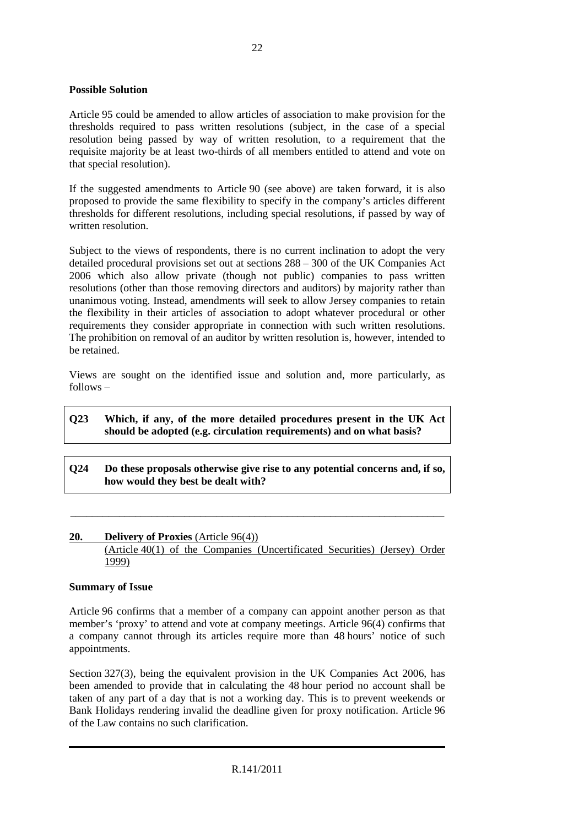#### **Possible Solution**

Article 95 could be amended to allow articles of association to make provision for the thresholds required to pass written resolutions (subject, in the case of a special resolution being passed by way of written resolution, to a requirement that the requisite majority be at least two-thirds of all members entitled to attend and vote on that special resolution).

If the suggested amendments to Article 90 (see above) are taken forward, it is also proposed to provide the same flexibility to specify in the company's articles different thresholds for different resolutions, including special resolutions, if passed by way of written resolution.

Subject to the views of respondents, there is no current inclination to adopt the very detailed procedural provisions set out at sections 288 – 300 of the UK Companies Act 2006 which also allow private (though not public) companies to pass written resolutions (other than those removing directors and auditors) by majority rather than unanimous voting. Instead, amendments will seek to allow Jersey companies to retain the flexibility in their articles of association to adopt whatever procedural or other requirements they consider appropriate in connection with such written resolutions. The prohibition on removal of an auditor by written resolution is, however, intended to be retained.

Views are sought on the identified issue and solution and, more particularly, as follows –

# **Q23 Which, if any, of the more detailed procedures present in the UK Act should be adopted (e.g. circulation requirements) and on what basis?**

**Q24 Do these proposals otherwise give rise to any potential concerns and, if so, how would they best be dealt with?** 

\_\_\_\_\_\_\_\_\_\_\_\_\_\_\_\_\_\_\_\_\_\_\_\_\_\_\_\_\_\_\_\_\_\_\_\_\_\_\_\_\_\_\_\_\_\_\_\_\_\_\_\_\_\_\_\_\_\_\_\_\_\_\_\_\_\_\_\_\_

#### **20. Delivery of Proxies** (Article 96(4))

(Article 40(1) of the Companies (Uncertificated Securities) (Jersey) Order 1999)

#### **Summary of Issue**

Article 96 confirms that a member of a company can appoint another person as that member's 'proxy' to attend and vote at company meetings. Article 96(4) confirms that a company cannot through its articles require more than 48 hours' notice of such appointments.

Section 327(3), being the equivalent provision in the UK Companies Act 2006, has been amended to provide that in calculating the 48 hour period no account shall be taken of any part of a day that is not a working day. This is to prevent weekends or Bank Holidays rendering invalid the deadline given for proxy notification. Article 96 of the Law contains no such clarification.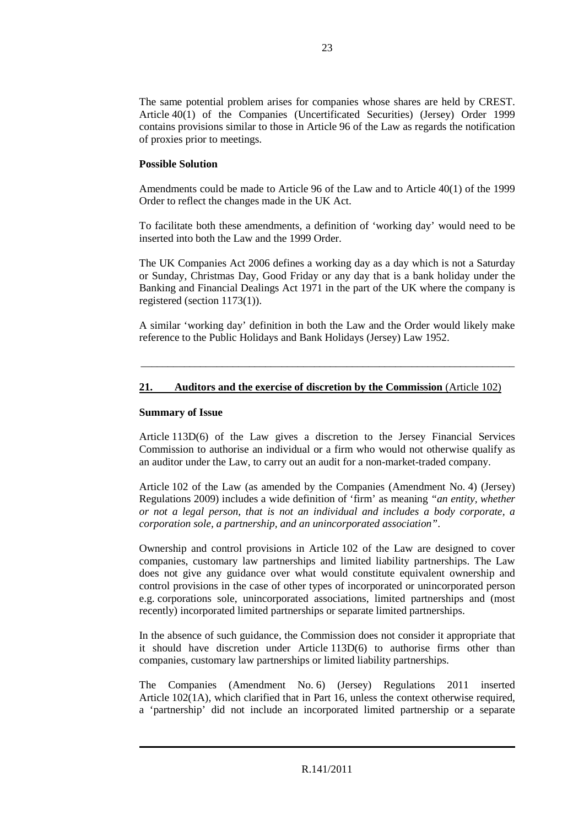The same potential problem arises for companies whose shares are held by CREST. Article 40(1) of the Companies (Uncertificated Securities) (Jersey) Order 1999 contains provisions similar to those in Article 96 of the Law as regards the notification of proxies prior to meetings.

# **Possible Solution**

Amendments could be made to Article 96 of the Law and to Article 40(1) of the 1999 Order to reflect the changes made in the UK Act.

To facilitate both these amendments, a definition of 'working day' would need to be inserted into both the Law and the 1999 Order.

The UK Companies Act 2006 defines a working day as a day which is not a Saturday or Sunday, Christmas Day, Good Friday or any day that is a bank holiday under the Banking and Financial Dealings Act 1971 in the part of the UK where the company is registered (section 1173(1)).

A similar 'working day' definition in both the Law and the Order would likely make reference to the Public Holidays and Bank Holidays (Jersey) Law 1952.

\_\_\_\_\_\_\_\_\_\_\_\_\_\_\_\_\_\_\_\_\_\_\_\_\_\_\_\_\_\_\_\_\_\_\_\_\_\_\_\_\_\_\_\_\_\_\_\_\_\_\_\_\_\_\_\_\_\_\_\_\_\_\_\_\_\_\_\_\_

# **21. Auditors and the exercise of discretion by the Commission** (Article 102)

#### **Summary of Issue**

Article 113D(6) of the Law gives a discretion to the Jersey Financial Services Commission to authorise an individual or a firm who would not otherwise qualify as an auditor under the Law, to carry out an audit for a non-market-traded company.

Article 102 of the Law (as amended by the Companies (Amendment No. 4) (Jersey) Regulations 2009) includes a wide definition of 'firm' as meaning *"an entity, whether or not a legal person, that is not an individual and includes a body corporate, a corporation sole, a partnership, and an unincorporated association"*.

Ownership and control provisions in Article 102 of the Law are designed to cover companies, customary law partnerships and limited liability partnerships. The Law does not give any guidance over what would constitute equivalent ownership and control provisions in the case of other types of incorporated or unincorporated person e.g. corporations sole, unincorporated associations, limited partnerships and (most recently) incorporated limited partnerships or separate limited partnerships.

In the absence of such guidance, the Commission does not consider it appropriate that it should have discretion under Article 113D(6) to authorise firms other than companies, customary law partnerships or limited liability partnerships.

The Companies (Amendment No. 6) (Jersey) Regulations 2011 inserted Article 102(1A), which clarified that in Part 16, unless the context otherwise required, a 'partnership' did not include an incorporated limited partnership or a separate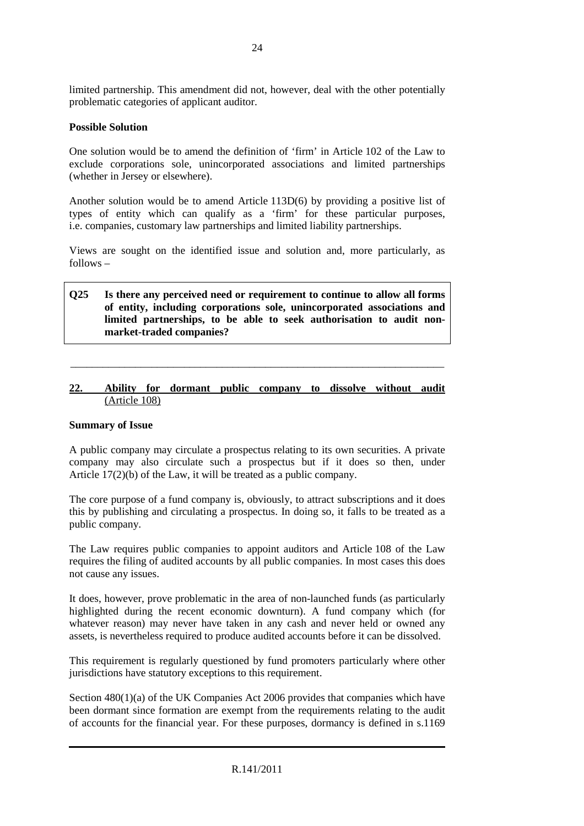limited partnership. This amendment did not, however, deal with the other potentially problematic categories of applicant auditor.

# **Possible Solution**

One solution would be to amend the definition of 'firm' in Article 102 of the Law to exclude corporations sole, unincorporated associations and limited partnerships (whether in Jersey or elsewhere).

Another solution would be to amend Article 113D(6) by providing a positive list of types of entity which can qualify as a 'firm' for these particular purposes, i.e. companies, customary law partnerships and limited liability partnerships.

Views are sought on the identified issue and solution and, more particularly, as follows –

# **Q25 Is there any perceived need or requirement to continue to allow all forms of entity, including corporations sole, unincorporated associations and limited partnerships, to be able to seek authorisation to audit nonmarket-traded companies?**

# **22. Ability for dormant public company to dissolve without audit** (Article 108)

\_\_\_\_\_\_\_\_\_\_\_\_\_\_\_\_\_\_\_\_\_\_\_\_\_\_\_\_\_\_\_\_\_\_\_\_\_\_\_\_\_\_\_\_\_\_\_\_\_\_\_\_\_\_\_\_\_\_\_\_\_\_\_\_\_\_\_\_\_

#### **Summary of Issue**

A public company may circulate a prospectus relating to its own securities. A private company may also circulate such a prospectus but if it does so then, under Article 17(2)(b) of the Law, it will be treated as a public company.

The core purpose of a fund company is, obviously, to attract subscriptions and it does this by publishing and circulating a prospectus. In doing so, it falls to be treated as a public company.

The Law requires public companies to appoint auditors and Article 108 of the Law requires the filing of audited accounts by all public companies. In most cases this does not cause any issues.

It does, however, prove problematic in the area of non-launched funds (as particularly highlighted during the recent economic downturn). A fund company which (for whatever reason) may never have taken in any cash and never held or owned any assets, is nevertheless required to produce audited accounts before it can be dissolved.

This requirement is regularly questioned by fund promoters particularly where other jurisdictions have statutory exceptions to this requirement.

Section 480(1)(a) of the UK Companies Act 2006 provides that companies which have been dormant since formation are exempt from the requirements relating to the audit of accounts for the financial year. For these purposes, dormancy is defined in s.1169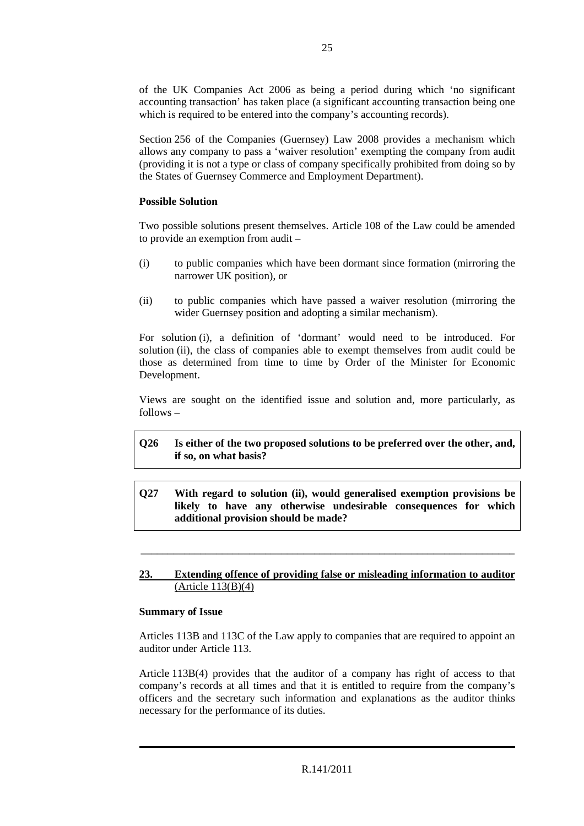of the UK Companies Act 2006 as being a period during which 'no significant accounting transaction' has taken place (a significant accounting transaction being one which is required to be entered into the company's accounting records).

Section 256 of the Companies (Guernsey) Law 2008 provides a mechanism which allows any company to pass a 'waiver resolution' exempting the company from audit (providing it is not a type or class of company specifically prohibited from doing so by the States of Guernsey Commerce and Employment Department).

# **Possible Solution**

Two possible solutions present themselves. Article 108 of the Law could be amended to provide an exemption from audit –

- (i) to public companies which have been dormant since formation (mirroring the narrower UK position), or
- (ii) to public companies which have passed a waiver resolution (mirroring the wider Guernsey position and adopting a similar mechanism).

For solution (i), a definition of 'dormant' would need to be introduced. For solution (ii), the class of companies able to exempt themselves from audit could be those as determined from time to time by Order of the Minister for Economic Development.

Views are sought on the identified issue and solution and, more particularly, as follows –

# **Q26 Is either of the two proposed solutions to be preferred over the other, and, if so, on what basis?**

**Q27 With regard to solution (ii), would generalised exemption provisions be likely to have any otherwise undesirable consequences for which additional provision should be made?** 

\_\_\_\_\_\_\_\_\_\_\_\_\_\_\_\_\_\_\_\_\_\_\_\_\_\_\_\_\_\_\_\_\_\_\_\_\_\_\_\_\_\_\_\_\_\_\_\_\_\_\_\_\_\_\_\_\_\_\_\_\_\_\_\_\_\_\_\_\_

# **23. Extending offence of providing false or misleading information to auditor** (Article 113(B)(4)

#### **Summary of Issue**

Articles 113B and 113C of the Law apply to companies that are required to appoint an auditor under Article 113.

Article 113B(4) provides that the auditor of a company has right of access to that company's records at all times and that it is entitled to require from the company's officers and the secretary such information and explanations as the auditor thinks necessary for the performance of its duties.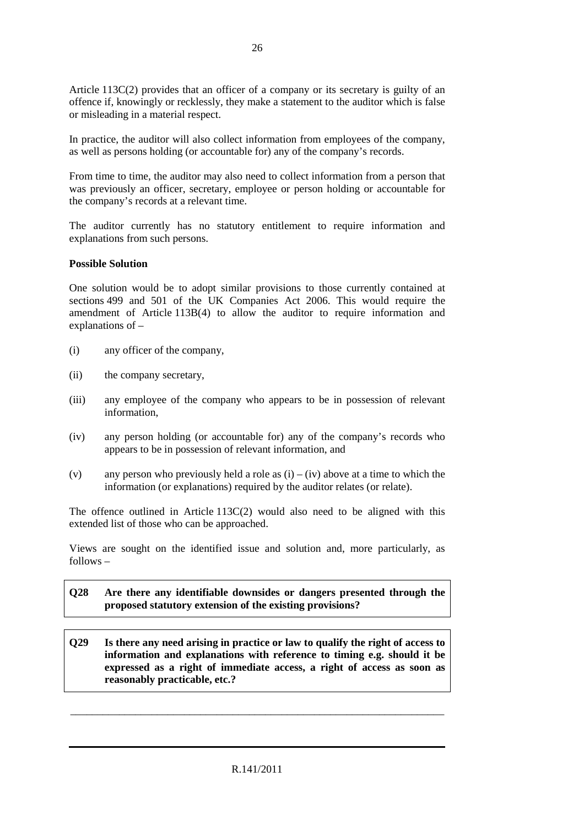Article 113C(2) provides that an officer of a company or its secretary is guilty of an offence if, knowingly or recklessly, they make a statement to the auditor which is false or misleading in a material respect.

In practice, the auditor will also collect information from employees of the company, as well as persons holding (or accountable for) any of the company's records.

From time to time, the auditor may also need to collect information from a person that was previously an officer, secretary, employee or person holding or accountable for the company's records at a relevant time.

The auditor currently has no statutory entitlement to require information and explanations from such persons.

#### **Possible Solution**

One solution would be to adopt similar provisions to those currently contained at sections 499 and 501 of the UK Companies Act 2006. This would require the amendment of Article 113B(4) to allow the auditor to require information and explanations of –

- (i) any officer of the company,
- (ii) the company secretary,
- (iii) any employee of the company who appears to be in possession of relevant information,
- (iv) any person holding (or accountable for) any of the company's records who appears to be in possession of relevant information, and
- (v) any person who previously held a role as  $(i) (iv)$  above at a time to which the information (or explanations) required by the auditor relates (or relate).

The offence outlined in Article  $113C(2)$  would also need to be aligned with this extended list of those who can be approached.

Views are sought on the identified issue and solution and, more particularly, as follows –

# **Q28 Are there any identifiable downsides or dangers presented through the proposed statutory extension of the existing provisions?**

**Q29 Is there any need arising in practice or law to qualify the right of access to information and explanations with reference to timing e.g. should it be expressed as a right of immediate access, a right of access as soon as reasonably practicable, etc.?** 

\_\_\_\_\_\_\_\_\_\_\_\_\_\_\_\_\_\_\_\_\_\_\_\_\_\_\_\_\_\_\_\_\_\_\_\_\_\_\_\_\_\_\_\_\_\_\_\_\_\_\_\_\_\_\_\_\_\_\_\_\_\_\_\_\_\_\_\_\_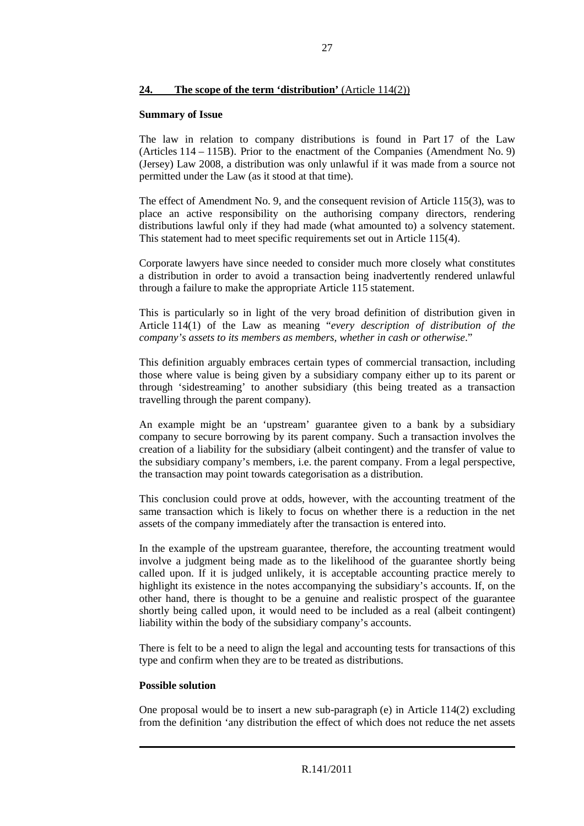# **24. The scope of the term 'distribution'** (Article 114(2))

#### **Summary of Issue**

The law in relation to company distributions is found in Part 17 of the Law (Articles 114 – 115B). Prior to the enactment of the Companies (Amendment No. 9) (Jersey) Law 2008, a distribution was only unlawful if it was made from a source not permitted under the Law (as it stood at that time).

The effect of Amendment No. 9, and the consequent revision of Article 115(3), was to place an active responsibility on the authorising company directors, rendering distributions lawful only if they had made (what amounted to) a solvency statement. This statement had to meet specific requirements set out in Article 115(4).

Corporate lawyers have since needed to consider much more closely what constitutes a distribution in order to avoid a transaction being inadvertently rendered unlawful through a failure to make the appropriate Article 115 statement.

This is particularly so in light of the very broad definition of distribution given in Article 114(1) of the Law as meaning "*every description of distribution of the company's assets to its members as members, whether in cash or otherwise*."

This definition arguably embraces certain types of commercial transaction, including those where value is being given by a subsidiary company either up to its parent or through 'sidestreaming' to another subsidiary (this being treated as a transaction travelling through the parent company).

An example might be an 'upstream' guarantee given to a bank by a subsidiary company to secure borrowing by its parent company. Such a transaction involves the creation of a liability for the subsidiary (albeit contingent) and the transfer of value to the subsidiary company's members, i.e. the parent company. From a legal perspective, the transaction may point towards categorisation as a distribution.

This conclusion could prove at odds, however, with the accounting treatment of the same transaction which is likely to focus on whether there is a reduction in the net assets of the company immediately after the transaction is entered into.

In the example of the upstream guarantee, therefore, the accounting treatment would involve a judgment being made as to the likelihood of the guarantee shortly being called upon. If it is judged unlikely, it is acceptable accounting practice merely to highlight its existence in the notes accompanying the subsidiary's accounts. If, on the other hand, there is thought to be a genuine and realistic prospect of the guarantee shortly being called upon, it would need to be included as a real (albeit contingent) liability within the body of the subsidiary company's accounts.

There is felt to be a need to align the legal and accounting tests for transactions of this type and confirm when they are to be treated as distributions.

# **Possible solution**

One proposal would be to insert a new sub-paragraph (e) in Article 114(2) excluding from the definition 'any distribution the effect of which does not reduce the net assets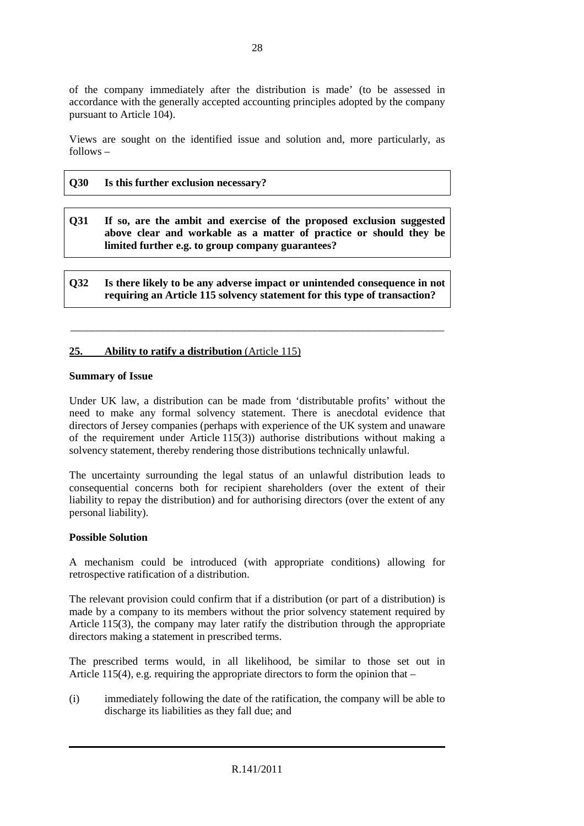of the company immediately after the distribution is made' (to be assessed in accordance with the generally accepted accounting principles adopted by the company pursuant to Article 104).

Views are sought on the identified issue and solution and, more particularly, as follows –

#### **Q30 Is this further exclusion necessary?**

**Q31 If so, are the ambit and exercise of the proposed exclusion suggested above clear and workable as a matter of practice or should they be limited further e.g. to group company guarantees?** 

**Q32 Is there likely to be any adverse impact or unintended consequence in not requiring an Article 115 solvency statement for this type of transaction?** 

\_\_\_\_\_\_\_\_\_\_\_\_\_\_\_\_\_\_\_\_\_\_\_\_\_\_\_\_\_\_\_\_\_\_\_\_\_\_\_\_\_\_\_\_\_\_\_\_\_\_\_\_\_\_\_\_\_\_\_\_\_\_\_\_\_\_\_\_\_

# **25. Ability to ratify a distribution** (Article 115)

#### **Summary of Issue**

Under UK law, a distribution can be made from 'distributable profits' without the need to make any formal solvency statement. There is anecdotal evidence that directors of Jersey companies (perhaps with experience of the UK system and unaware of the requirement under Article 115(3)) authorise distributions without making a solvency statement, thereby rendering those distributions technically unlawful.

The uncertainty surrounding the legal status of an unlawful distribution leads to consequential concerns both for recipient shareholders (over the extent of their liability to repay the distribution) and for authorising directors (over the extent of any personal liability).

#### **Possible Solution**

A mechanism could be introduced (with appropriate conditions) allowing for retrospective ratification of a distribution.

The relevant provision could confirm that if a distribution (or part of a distribution) is made by a company to its members without the prior solvency statement required by Article 115(3), the company may later ratify the distribution through the appropriate directors making a statement in prescribed terms.

The prescribed terms would, in all likelihood, be similar to those set out in Article 115(4), e.g. requiring the appropriate directors to form the opinion that –

(i) immediately following the date of the ratification, the company will be able to discharge its liabilities as they fall due; and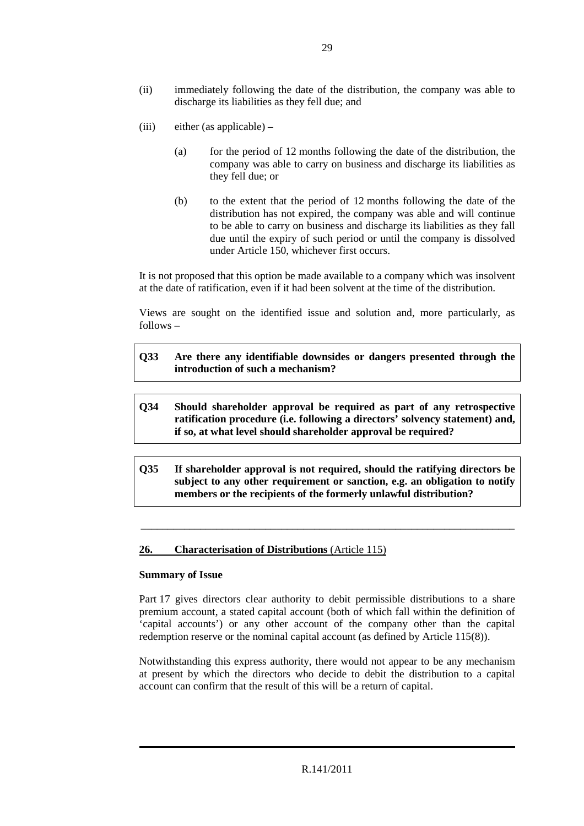- (ii) immediately following the date of the distribution, the company was able to discharge its liabilities as they fell due; and
- (iii) either (as applicable)
	- (a) for the period of 12 months following the date of the distribution, the company was able to carry on business and discharge its liabilities as they fell due; or
	- (b) to the extent that the period of 12 months following the date of the distribution has not expired, the company was able and will continue to be able to carry on business and discharge its liabilities as they fall due until the expiry of such period or until the company is dissolved under Article 150, whichever first occurs.

It is not proposed that this option be made available to a company which was insolvent at the date of ratification, even if it had been solvent at the time of the distribution.

Views are sought on the identified issue and solution and, more particularly, as follows –

- **Q33 Are there any identifiable downsides or dangers presented through the introduction of such a mechanism?**
- **Q34 Should shareholder approval be required as part of any retrospective ratification procedure (i.e. following a directors' solvency statement) and, if so, at what level should shareholder approval be required?**
- **Q35 If shareholder approval is not required, should the ratifying directors be subject to any other requirement or sanction, e.g. an obligation to notify members or the recipients of the formerly unlawful distribution?**

\_\_\_\_\_\_\_\_\_\_\_\_\_\_\_\_\_\_\_\_\_\_\_\_\_\_\_\_\_\_\_\_\_\_\_\_\_\_\_\_\_\_\_\_\_\_\_\_\_\_\_\_\_\_\_\_\_\_\_\_\_\_\_\_\_\_\_\_\_

#### **26. Characterisation of Distributions** (Article 115)

#### **Summary of Issue**

Part 17 gives directors clear authority to debit permissible distributions to a share premium account, a stated capital account (both of which fall within the definition of 'capital accounts') or any other account of the company other than the capital redemption reserve or the nominal capital account (as defined by Article 115(8)).

Notwithstanding this express authority, there would not appear to be any mechanism at present by which the directors who decide to debit the distribution to a capital account can confirm that the result of this will be a return of capital.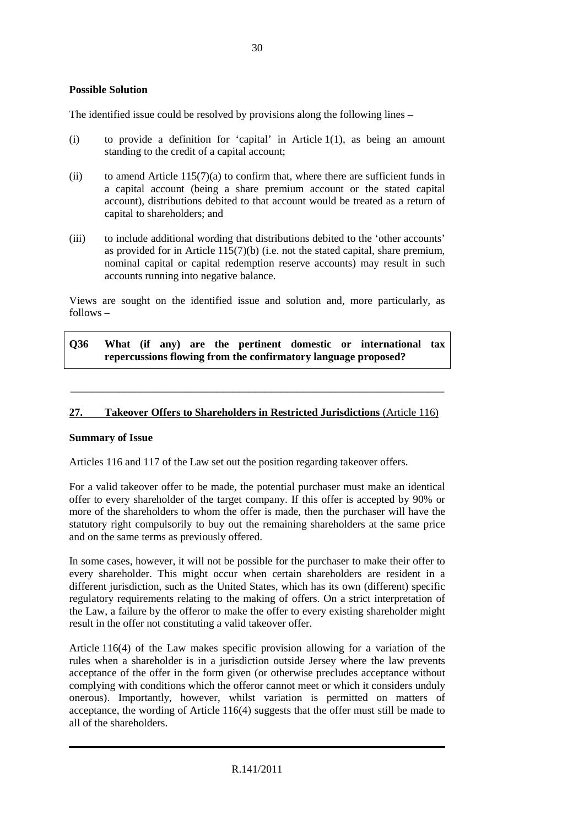#### **Possible Solution**

The identified issue could be resolved by provisions along the following lines –

- (i) to provide a definition for 'capital' in Article 1(1), as being an amount standing to the credit of a capital account;
- (ii) to amend Article  $115(7)(a)$  to confirm that, where there are sufficient funds in a capital account (being a share premium account or the stated capital account), distributions debited to that account would be treated as a return of capital to shareholders; and
- (iii) to include additional wording that distributions debited to the 'other accounts' as provided for in Article 115(7)(b) (i.e. not the stated capital, share premium, nominal capital or capital redemption reserve accounts) may result in such accounts running into negative balance.

Views are sought on the identified issue and solution and, more particularly, as follows –

**Q36 What (if any) are the pertinent domestic or international tax repercussions flowing from the confirmatory language proposed?** 

#### **27. Takeover Offers to Shareholders in Restricted Jurisdictions** (Article 116)

\_\_\_\_\_\_\_\_\_\_\_\_\_\_\_\_\_\_\_\_\_\_\_\_\_\_\_\_\_\_\_\_\_\_\_\_\_\_\_\_\_\_\_\_\_\_\_\_\_\_\_\_\_\_\_\_\_\_\_\_\_\_\_\_\_\_\_\_\_

#### **Summary of Issue**

Articles 116 and 117 of the Law set out the position regarding takeover offers.

For a valid takeover offer to be made, the potential purchaser must make an identical offer to every shareholder of the target company. If this offer is accepted by 90% or more of the shareholders to whom the offer is made, then the purchaser will have the statutory right compulsorily to buy out the remaining shareholders at the same price and on the same terms as previously offered.

In some cases, however, it will not be possible for the purchaser to make their offer to every shareholder. This might occur when certain shareholders are resident in a different jurisdiction, such as the United States, which has its own (different) specific regulatory requirements relating to the making of offers. On a strict interpretation of the Law, a failure by the offeror to make the offer to every existing shareholder might result in the offer not constituting a valid takeover offer.

Article 116(4) of the Law makes specific provision allowing for a variation of the rules when a shareholder is in a jurisdiction outside Jersey where the law prevents acceptance of the offer in the form given (or otherwise precludes acceptance without complying with conditions which the offeror cannot meet or which it considers unduly onerous). Importantly, however, whilst variation is permitted on matters of acceptance, the wording of Article 116(4) suggests that the offer must still be made to all of the shareholders.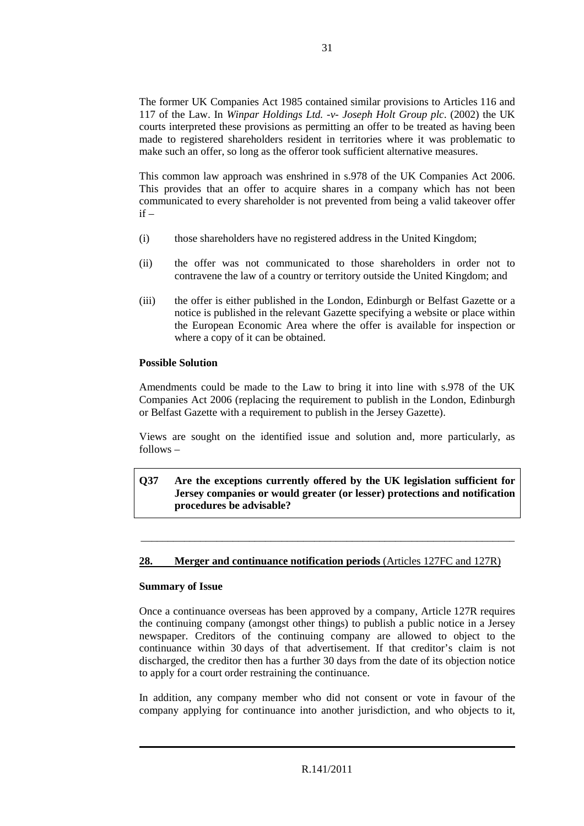The former UK Companies Act 1985 contained similar provisions to Articles 116 and 117 of the Law. In *Winpar Holdings Ltd. -v- Joseph Holt Group plc*. (2002) the UK courts interpreted these provisions as permitting an offer to be treated as having been made to registered shareholders resident in territories where it was problematic to make such an offer, so long as the offeror took sufficient alternative measures.

This common law approach was enshrined in s.978 of the UK Companies Act 2006. This provides that an offer to acquire shares in a company which has not been communicated to every shareholder is not prevented from being a valid takeover offer  $if =$ 

- (i) those shareholders have no registered address in the United Kingdom;
- (ii) the offer was not communicated to those shareholders in order not to contravene the law of a country or territory outside the United Kingdom; and
- (iii) the offer is either published in the London, Edinburgh or Belfast Gazette or a notice is published in the relevant Gazette specifying a website or place within the European Economic Area where the offer is available for inspection or where a copy of it can be obtained.

# **Possible Solution**

Amendments could be made to the Law to bring it into line with s.978 of the UK Companies Act 2006 (replacing the requirement to publish in the London, Edinburgh or Belfast Gazette with a requirement to publish in the Jersey Gazette).

Views are sought on the identified issue and solution and, more particularly, as follows –

#### **Q37 Are the exceptions currently offered by the UK legislation sufficient for Jersey companies or would greater (or lesser) protections and notification procedures be advisable?**

\_\_\_\_\_\_\_\_\_\_\_\_\_\_\_\_\_\_\_\_\_\_\_\_\_\_\_\_\_\_\_\_\_\_\_\_\_\_\_\_\_\_\_\_\_\_\_\_\_\_\_\_\_\_\_\_\_\_\_\_\_\_\_\_\_\_\_\_\_

# **28. Merger and continuance notification periods** (Articles 127FC and 127R)

#### **Summary of Issue**

Once a continuance overseas has been approved by a company, Article 127R requires the continuing company (amongst other things) to publish a public notice in a Jersey newspaper. Creditors of the continuing company are allowed to object to the continuance within 30 days of that advertisement. If that creditor's claim is not discharged, the creditor then has a further 30 days from the date of its objection notice to apply for a court order restraining the continuance.

In addition, any company member who did not consent or vote in favour of the company applying for continuance into another jurisdiction, and who objects to it,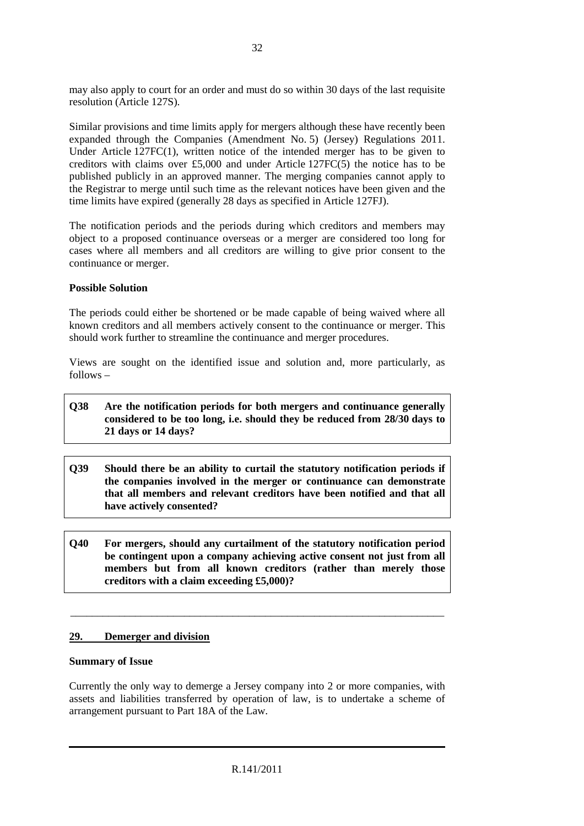may also apply to court for an order and must do so within 30 days of the last requisite resolution (Article 127S).

Similar provisions and time limits apply for mergers although these have recently been expanded through the Companies (Amendment No. 5) (Jersey) Regulations 2011. Under Article 127FC(1), written notice of the intended merger has to be given to creditors with claims over £5,000 and under Article 127FC(5) the notice has to be published publicly in an approved manner. The merging companies cannot apply to the Registrar to merge until such time as the relevant notices have been given and the time limits have expired (generally 28 days as specified in Article 127FJ).

The notification periods and the periods during which creditors and members may object to a proposed continuance overseas or a merger are considered too long for cases where all members and all creditors are willing to give prior consent to the continuance or merger.

# **Possible Solution**

The periods could either be shortened or be made capable of being waived where all known creditors and all members actively consent to the continuance or merger. This should work further to streamline the continuance and merger procedures.

Views are sought on the identified issue and solution and, more particularly, as follows –

# **Q38 Are the notification periods for both mergers and continuance generally considered to be too long, i.e. should they be reduced from 28/30 days to 21 days or 14 days?**

- **Q39 Should there be an ability to curtail the statutory notification periods if the companies involved in the merger or continuance can demonstrate that all members and relevant creditors have been notified and that all have actively consented?**
- **Q40 For mergers, should any curtailment of the statutory notification period be contingent upon a company achieving active consent not just from all members but from all known creditors (rather than merely those creditors with a claim exceeding £5,000)?**

\_\_\_\_\_\_\_\_\_\_\_\_\_\_\_\_\_\_\_\_\_\_\_\_\_\_\_\_\_\_\_\_\_\_\_\_\_\_\_\_\_\_\_\_\_\_\_\_\_\_\_\_\_\_\_\_\_\_\_\_\_\_\_\_\_\_\_\_\_

#### **29. Demerger and division**

#### **Summary of Issue**

Currently the only way to demerge a Jersey company into 2 or more companies, with assets and liabilities transferred by operation of law, is to undertake a scheme of arrangement pursuant to Part 18A of the Law.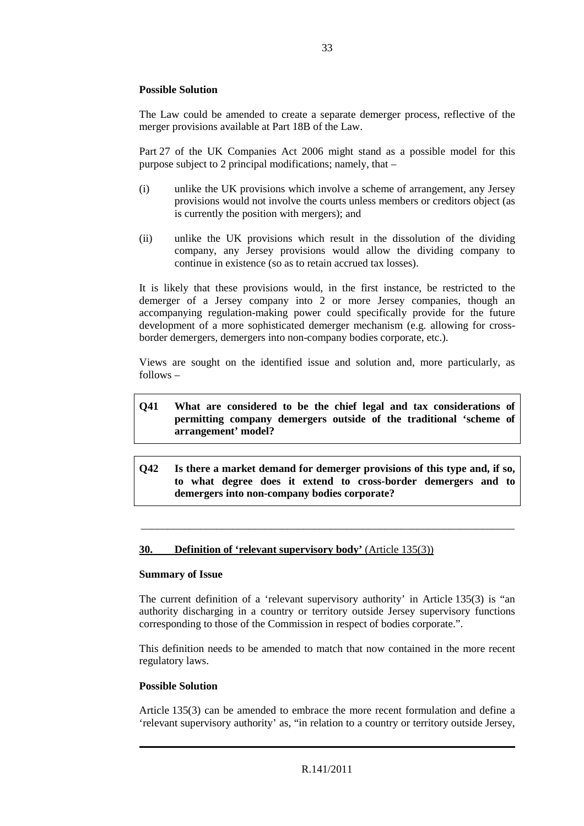# **Possible Solution**

The Law could be amended to create a separate demerger process, reflective of the merger provisions available at Part 18B of the Law.

Part 27 of the UK Companies Act 2006 might stand as a possible model for this purpose subject to 2 principal modifications; namely, that –

- (i) unlike the UK provisions which involve a scheme of arrangement, any Jersey provisions would not involve the courts unless members or creditors object (as is currently the position with mergers); and
- (ii) unlike the UK provisions which result in the dissolution of the dividing company, any Jersey provisions would allow the dividing company to continue in existence (so as to retain accrued tax losses).

It is likely that these provisions would, in the first instance, be restricted to the demerger of a Jersey company into 2 or more Jersey companies, though an accompanying regulation-making power could specifically provide for the future development of a more sophisticated demerger mechanism (e.g. allowing for crossborder demergers, demergers into non-company bodies corporate, etc.).

Views are sought on the identified issue and solution and, more particularly, as follows –

# **Q41 What are considered to be the chief legal and tax considerations of permitting company demergers outside of the traditional 'scheme of arrangement' model?**

**Q42 Is there a market demand for demerger provisions of this type and, if so, to what degree does it extend to cross-border demergers and to demergers into non-company bodies corporate?** 

\_\_\_\_\_\_\_\_\_\_\_\_\_\_\_\_\_\_\_\_\_\_\_\_\_\_\_\_\_\_\_\_\_\_\_\_\_\_\_\_\_\_\_\_\_\_\_\_\_\_\_\_\_\_\_\_\_\_\_\_\_\_\_\_\_\_\_\_\_

#### **30.** Definition of 'relevant supervisory body' (Article 135(3))

#### **Summary of Issue**

The current definition of a 'relevant supervisory authority' in Article 135(3) is "an authority discharging in a country or territory outside Jersey supervisory functions corresponding to those of the Commission in respect of bodies corporate.".

This definition needs to be amended to match that now contained in the more recent regulatory laws.

#### **Possible Solution**

Article 135(3) can be amended to embrace the more recent formulation and define a 'relevant supervisory authority' as, "in relation to a country or territory outside Jersey,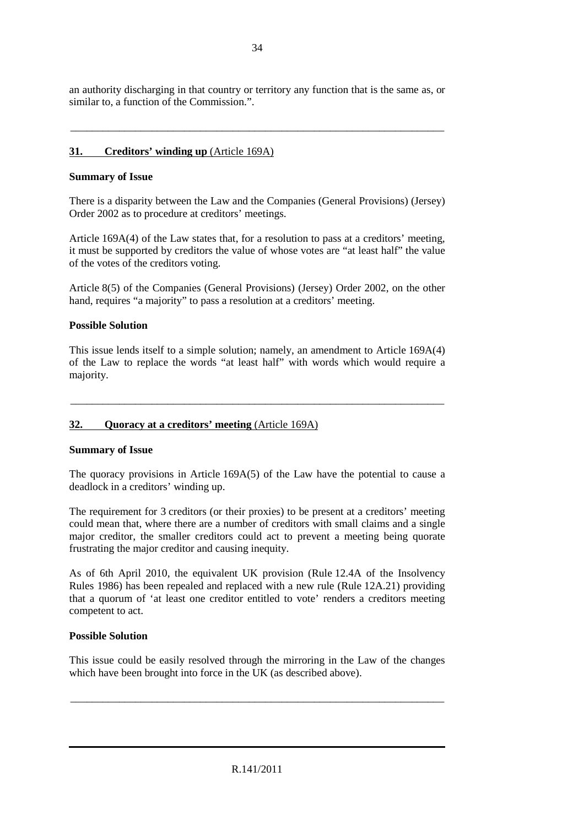an authority discharging in that country or territory any function that is the same as, or similar to, a function of the Commission.".

\_\_\_\_\_\_\_\_\_\_\_\_\_\_\_\_\_\_\_\_\_\_\_\_\_\_\_\_\_\_\_\_\_\_\_\_\_\_\_\_\_\_\_\_\_\_\_\_\_\_\_\_\_\_\_\_\_\_\_\_\_\_\_\_\_\_\_\_\_

# **31. Creditors' winding up** (Article 169A)

#### **Summary of Issue**

There is a disparity between the Law and the Companies (General Provisions) (Jersey) Order 2002 as to procedure at creditors' meetings.

Article 169A(4) of the Law states that, for a resolution to pass at a creditors' meeting, it must be supported by creditors the value of whose votes are "at least half" the value of the votes of the creditors voting.

Article 8(5) of the Companies (General Provisions) (Jersey) Order 2002, on the other hand, requires "a majority" to pass a resolution at a creditors' meeting.

# **Possible Solution**

This issue lends itself to a simple solution; namely, an amendment to Article 169A(4) of the Law to replace the words "at least half" with words which would require a majority.

\_\_\_\_\_\_\_\_\_\_\_\_\_\_\_\_\_\_\_\_\_\_\_\_\_\_\_\_\_\_\_\_\_\_\_\_\_\_\_\_\_\_\_\_\_\_\_\_\_\_\_\_\_\_\_\_\_\_\_\_\_\_\_\_\_\_\_\_\_

#### **32. Quoracy at a creditors' meeting** (Article 169A)

#### **Summary of Issue**

The quoracy provisions in Article 169A(5) of the Law have the potential to cause a deadlock in a creditors' winding up.

The requirement for 3 creditors (or their proxies) to be present at a creditors' meeting could mean that, where there are a number of creditors with small claims and a single major creditor, the smaller creditors could act to prevent a meeting being quorate frustrating the major creditor and causing inequity.

As of 6th April 2010, the equivalent UK provision (Rule 12.4A of the Insolvency Rules 1986) has been repealed and replaced with a new rule (Rule 12A.21) providing that a quorum of 'at least one creditor entitled to vote' renders a creditors meeting competent to act.

#### **Possible Solution**

This issue could be easily resolved through the mirroring in the Law of the changes which have been brought into force in the UK (as described above).

\_\_\_\_\_\_\_\_\_\_\_\_\_\_\_\_\_\_\_\_\_\_\_\_\_\_\_\_\_\_\_\_\_\_\_\_\_\_\_\_\_\_\_\_\_\_\_\_\_\_\_\_\_\_\_\_\_\_\_\_\_\_\_\_\_\_\_\_\_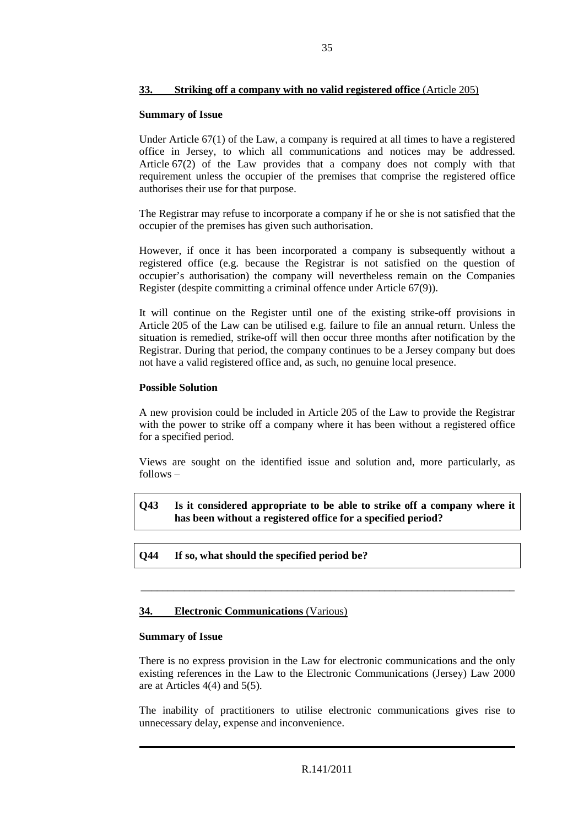# **33. Striking off a company with no valid registered office** (Article 205)

#### **Summary of Issue**

Under Article 67(1) of the Law, a company is required at all times to have a registered office in Jersey, to which all communications and notices may be addressed. Article 67(2) of the Law provides that a company does not comply with that requirement unless the occupier of the premises that comprise the registered office authorises their use for that purpose.

The Registrar may refuse to incorporate a company if he or she is not satisfied that the occupier of the premises has given such authorisation.

However, if once it has been incorporated a company is subsequently without a registered office (e.g. because the Registrar is not satisfied on the question of occupier's authorisation) the company will nevertheless remain on the Companies Register (despite committing a criminal offence under Article 67(9)).

It will continue on the Register until one of the existing strike-off provisions in Article 205 of the Law can be utilised e.g. failure to file an annual return. Unless the situation is remedied, strike-off will then occur three months after notification by the Registrar. During that period, the company continues to be a Jersey company but does not have a valid registered office and, as such, no genuine local presence.

# **Possible Solution**

A new provision could be included in Article 205 of the Law to provide the Registrar with the power to strike off a company where it has been without a registered office for a specified period.

Views are sought on the identified issue and solution and, more particularly, as follows –

**Q43 Is it considered appropriate to be able to strike off a company where it has been without a registered office for a specified period?** 

\_\_\_\_\_\_\_\_\_\_\_\_\_\_\_\_\_\_\_\_\_\_\_\_\_\_\_\_\_\_\_\_\_\_\_\_\_\_\_\_\_\_\_\_\_\_\_\_\_\_\_\_\_\_\_\_\_\_\_\_\_\_\_\_\_\_\_\_\_

**Q44 If so, what should the specified period be?** 

# **34. Electronic Communications** (Various)

#### **Summary of Issue**

There is no express provision in the Law for electronic communications and the only existing references in the Law to the Electronic Communications (Jersey) Law 2000 are at Articles 4(4) and 5(5).

The inability of practitioners to utilise electronic communications gives rise to unnecessary delay, expense and inconvenience.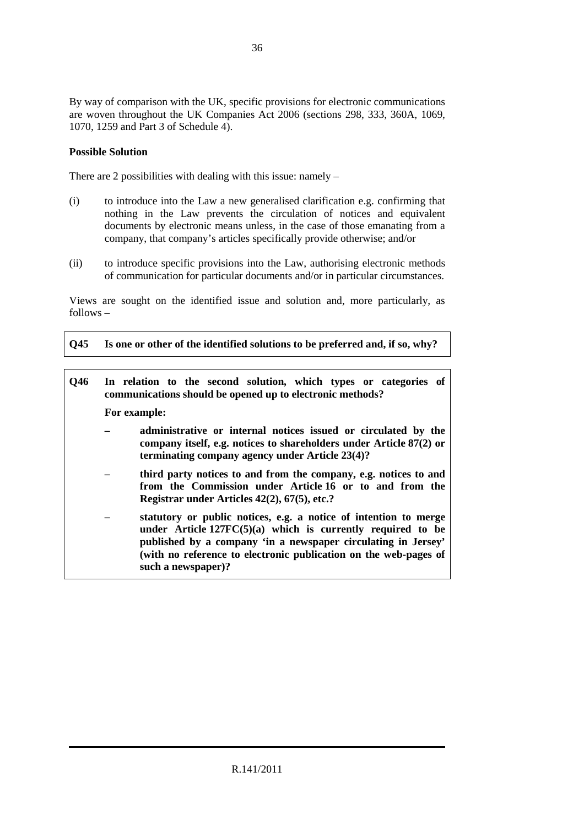By way of comparison with the UK, specific provisions for electronic communications are woven throughout the UK Companies Act 2006 (sections 298, 333, 360A, 1069, 1070, 1259 and Part 3 of Schedule 4).

# **Possible Solution**

There are 2 possibilities with dealing with this issue: namely –

- (i) to introduce into the Law a new generalised clarification e.g. confirming that nothing in the Law prevents the circulation of notices and equivalent documents by electronic means unless, in the case of those emanating from a company, that company's articles specifically provide otherwise; and/or
- (ii) to introduce specific provisions into the Law, authorising electronic methods of communication for particular documents and/or in particular circumstances.

Views are sought on the identified issue and solution and, more particularly, as follows –

**Q45 Is one or other of the identified solutions to be preferred and, if so, why?** 

| Q46 |              | In relation to the second solution, which types or categories of<br>communications should be opened up to electronic methods?                                                                                                                                                                |
|-----|--------------|----------------------------------------------------------------------------------------------------------------------------------------------------------------------------------------------------------------------------------------------------------------------------------------------|
|     | For example: |                                                                                                                                                                                                                                                                                              |
|     |              | administrative or internal notices issued or circulated by the<br>company itself, e.g. notices to shareholders under Article 87(2) or<br>terminating company agency under Article 23(4)?                                                                                                     |
|     |              | third party notices to and from the company, e.g. notices to and<br>from the Commission under Article 16 or to and from the<br>Registrar under Articles $42(2)$ , $67(5)$ , etc.?                                                                                                            |
|     |              | statutory or public notices, e.g. a notice of intention to merge<br>under Article $127FC(5)(a)$ which is currently required to be<br>published by a company 'in a newspaper circulating in Jersey'<br>(with no reference to electronic publication on the web-pages of<br>such a newspaper)? |